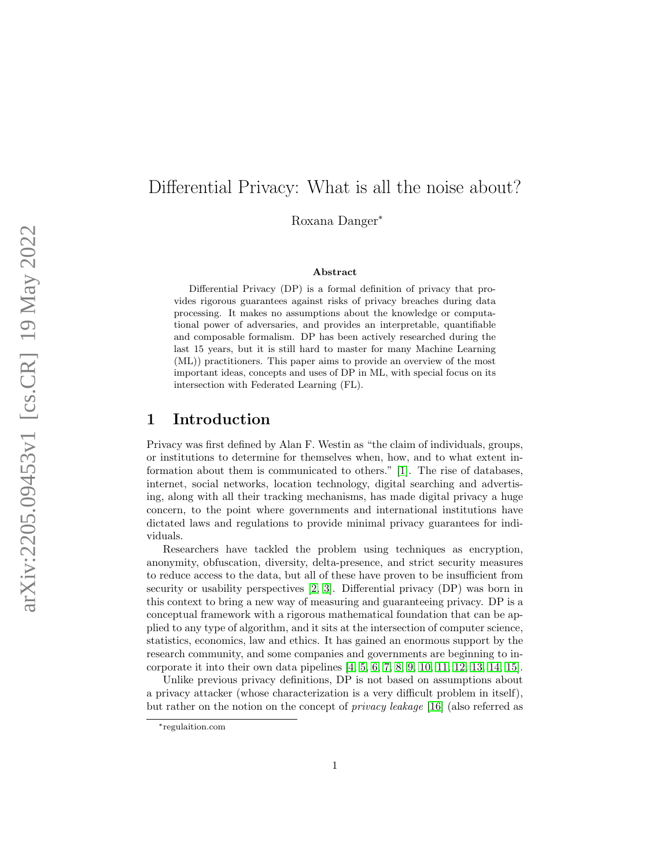# Differential Privacy: What is all the noise about?

Roxana Danger ∗

#### Abstract

Differential Privacy (DP) is a formal definition of privacy that provides rigorous guarantees against risks of privacy breaches during data processing. It makes no assumptions about the knowledge or computational power of adversaries, and provides an interpretable, quantifiable and composable formalism. DP has been actively researched during the last 15 years, but it is still hard to master for many Machine Learning (ML)) practitioners. This paper aims to provide an overview of the most important ideas, concepts and uses of DP in ML, with special focus on its intersection with Federated Learning (FL).

## 1 Introduction

Privacy was first defined by Alan F. Westin as "the claim of individuals, groups, or institutions to determine for themselves when, how, and to what extent information about them is communicated to others." [\[1\]](#page-21-0). The rise of databases, internet, social networks, location technology, digital searching and advertising, along with all their tracking mechanisms, has made digital privacy a huge concern, to the point where governments and international institutions have dictated laws and regulations to provide minimal privacy guarantees for individuals.

Researchers have tackled the problem using techniques as encryption, anonymity, obfuscation, diversity, delta-presence, and strict security measures to reduce access to the data, but all of these have proven to be insufficient from security or usability perspectives [\[2,](#page-21-1) [3\]](#page-21-2). Differential privacy (DP) was born in this context to bring a new way of measuring and guaranteeing privacy. DP is a conceptual framework with a rigorous mathematical foundation that can be applied to any type of algorithm, and it sits at the intersection of computer science, statistics, economics, law and ethics. It has gained an enormous support by the research community, and some companies and governments are beginning to incorporate it into their own data pipelines  $[4, 5, 6, 7, 8, 9, 10, 11, 12, 13, 14, 15]$  $[4, 5, 6, 7, 8, 9, 10, 11, 12, 13, 14, 15]$  $[4, 5, 6, 7, 8, 9, 10, 11, 12, 13, 14, 15]$  $[4, 5, 6, 7, 8, 9, 10, 11, 12, 13, 14, 15]$  $[4, 5, 6, 7, 8, 9, 10, 11, 12, 13, 14, 15]$  $[4, 5, 6, 7, 8, 9, 10, 11, 12, 13, 14, 15]$  $[4, 5, 6, 7, 8, 9, 10, 11, 12, 13, 14, 15]$  $[4, 5, 6, 7, 8, 9, 10, 11, 12, 13, 14, 15]$  $[4, 5, 6, 7, 8, 9, 10, 11, 12, 13, 14, 15]$  $[4, 5, 6, 7, 8, 9, 10, 11, 12, 13, 14, 15]$  $[4, 5, 6, 7, 8, 9, 10, 11, 12, 13, 14, 15]$  $[4, 5, 6, 7, 8, 9, 10, 11, 12, 13, 14, 15]$ .

Unlike previous privacy definitions, DP is not based on assumptions about a privacy attacker (whose characterization is a very difficult problem in itself), but rather on the notion on the concept of privacy leakage [\[16\]](#page-22-12) (also referred as

<sup>∗</sup> regulaition.com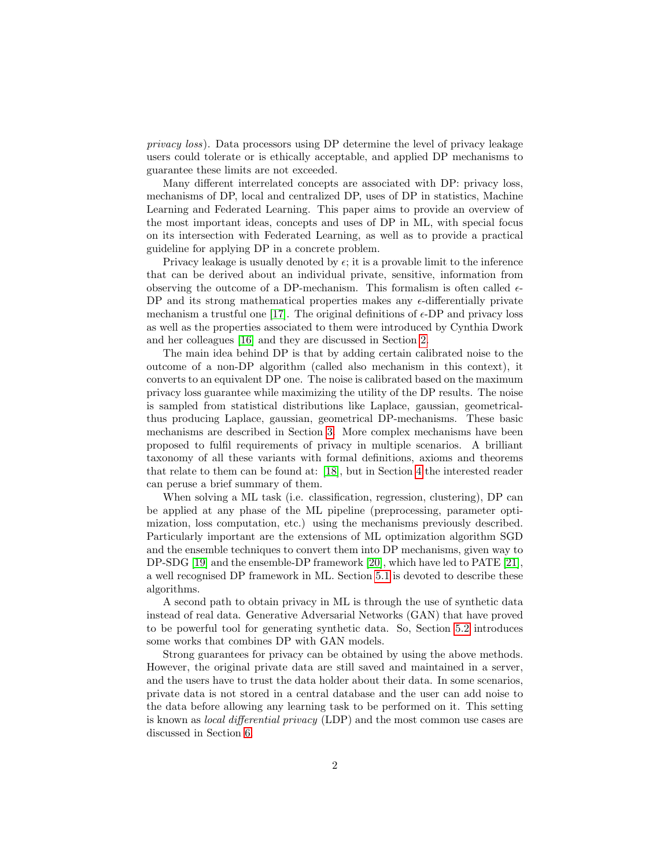privacy loss). Data processors using DP determine the level of privacy leakage users could tolerate or is ethically acceptable, and applied DP mechanisms to guarantee these limits are not exceeded.

Many different interrelated concepts are associated with DP: privacy loss, mechanisms of DP, local and centralized DP, uses of DP in statistics, Machine Learning and Federated Learning. This paper aims to provide an overview of the most important ideas, concepts and uses of DP in ML, with special focus on its intersection with Federated Learning, as well as to provide a practical guideline for applying DP in a concrete problem.

Privacy leakage is usually denoted by  $\epsilon$ ; it is a provable limit to the inference that can be derived about an individual private, sensitive, information from observing the outcome of a DP-mechanism. This formalism is often called  $\epsilon$ -DP and its strong mathematical properties makes any  $\epsilon$ -differentially private mechanism a trustful one [\[17\]](#page-22-13). The original definitions of  $\epsilon$ -DP and privacy loss as well as the properties associated to them were introduced by Cynthia Dwork and her colleagues [\[16\]](#page-22-12) and they are discussed in Section [2.](#page-2-0)

The main idea behind DP is that by adding certain calibrated noise to the outcome of a non-DP algorithm (called also mechanism in this context), it converts to an equivalent DP one. The noise is calibrated based on the maximum privacy loss guarantee while maximizing the utility of the DP results. The noise is sampled from statistical distributions like Laplace, gaussian, geometricalthus producing Laplace, gaussian, geometrical DP-mechanisms. These basic mechanisms are described in Section [3.](#page-5-0) More complex mechanisms have been proposed to fulfil requirements of privacy in multiple scenarios. A brilliant taxonomy of all these variants with formal definitions, axioms and theorems that relate to them can be found at: [\[18\]](#page-22-14), but in Section [4](#page-6-0) the interested reader can peruse a brief summary of them.

When solving a ML task (i.e. classification, regression, clustering), DP can be applied at any phase of the ML pipeline (preprocessing, parameter optimization, loss computation, etc.) using the mechanisms previously described. Particularly important are the extensions of ML optimization algorithm SGD and the ensemble techniques to convert them into DP mechanisms, given way to DP-SDG [\[19\]](#page-22-15) and the ensemble-DP framework [\[20\]](#page-23-0), which have led to PATE [\[21\]](#page-23-1), a well recognised DP framework in ML. Section [5.1](#page-8-0) is devoted to describe these algorithms.

A second path to obtain privacy in ML is through the use of synthetic data instead of real data. Generative Adversarial Networks (GAN) that have proved to be powerful tool for generating synthetic data. So, Section [5.2](#page-11-0) introduces some works that combines DP with GAN models.

Strong guarantees for privacy can be obtained by using the above methods. However, the original private data are still saved and maintained in a server, and the users have to trust the data holder about their data. In some scenarios, private data is not stored in a central database and the user can add noise to the data before allowing any learning task to be performed on it. This setting is known as local differential privacy (LDP) and the most common use cases are discussed in Section [6.](#page-14-0)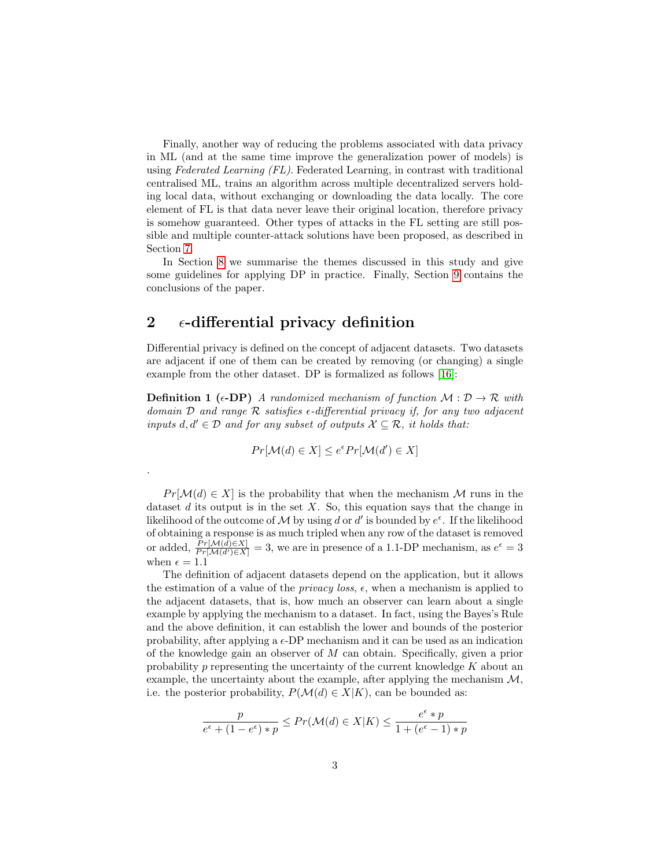Finally, another way of reducing the problems associated with data privacy in ML (and at the same time improve the generalization power of models) is using Federated Learning (FL). Federated Learning, in contrast with traditional centralised ML, trains an algorithm across multiple decentralized servers holding local data, without exchanging or downloading the data locally. The core element of FL is that data never leave their original location, therefore privacy is somehow guaranteed. Other types of attacks in the FL setting are still possible and multiple counter-attack solutions have been proposed, as described in Section [7.](#page-15-0)

In Section [8](#page-19-0) we summarise the themes discussed in this study and give some guidelines for applying DP in practice. Finally, Section [9](#page-21-3) contains the conclusions of the paper.

# <span id="page-2-0"></span>2  $\epsilon$ -differential privacy definition

.

Differential privacy is defined on the concept of adjacent datasets. Two datasets are adjacent if one of them can be created by removing (or changing) a single example from the other dataset. DP is formalized as follows [\[16\]](#page-22-12):

**Definition 1** ( $\epsilon$ -**DP**) A randomized mechanism of function  $\mathcal{M}: \mathcal{D} \to \mathcal{R}$  with domain D and range R satisfies  $\epsilon$ -differential privacy if, for any two adjacent inputs  $d, d' \in \mathcal{D}$  and for any subset of outputs  $\mathcal{X} \subseteq \mathcal{R}$ , it holds that:

$$
Pr[\mathcal{M}(d) \in X] \le e^{\epsilon} Pr[\mathcal{M}(d') \in X]
$$

 $Pr[\mathcal{M}(d) \in X]$  is the probability that when the mechanism M runs in the dataset  $d$  its output is in the set  $X$ . So, this equation says that the change in likelihood of the outcome of M by using d or d' is bounded by  $e^{\epsilon}$ . If the likelihood of obtaining a response is as much tripled when any row of the dataset is removed or added,  $\frac{Pr[M(d) \in X]}{Pr[M(d') \in X]} = 3$ , we are in presence of a 1.1-DP mechanism, as  $e^{\epsilon} = 3$ when  $\epsilon = 1.1$ 

The definition of adjacent datasets depend on the application, but it allows the estimation of a value of the *privacy loss*,  $\epsilon$ , when a mechanism is applied to the adjacent datasets, that is, how much an observer can learn about a single example by applying the mechanism to a dataset. In fact, using the Bayes's Rule and the above definition, it can establish the lower and bounds of the posterior probability, after applying a  $\epsilon$ -DP mechanism and it can be used as an indication of the knowledge gain an observer of M can obtain. Specifically, given a prior probability  $p$  representing the uncertainty of the current knowledge  $K$  about an example, the uncertainty about the example, after applying the mechanism  $\mathcal{M}$ , i.e. the posterior probability,  $P(\mathcal{M}(d) \in X|K)$ , can be bounded as:

$$
\frac{p}{e^{\epsilon} + (1 - e^{\epsilon}) * p} \le Pr(\mathcal{M}(d) \in X | K) \le \frac{e^{\epsilon} * p}{1 + (e^{\epsilon} - 1) * p}
$$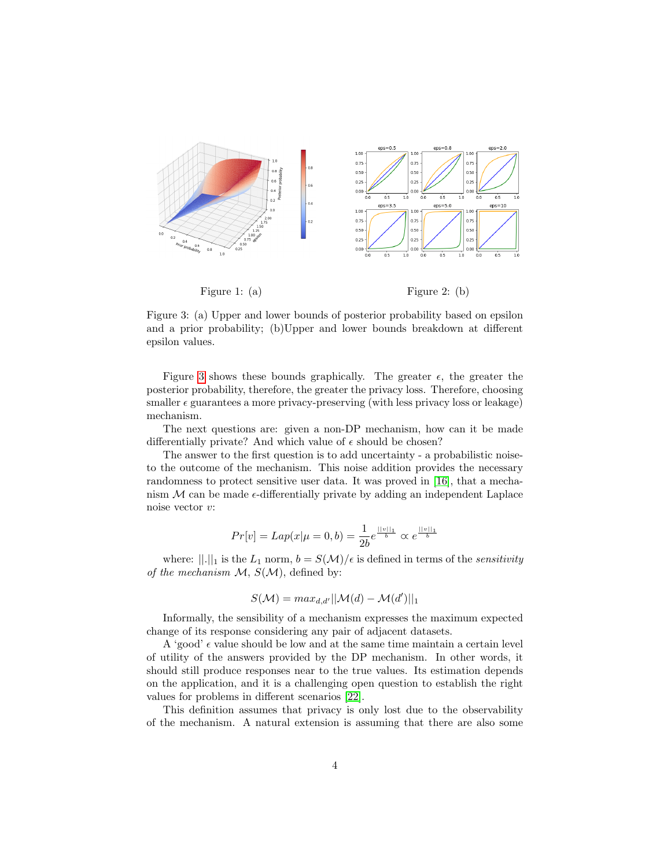

<span id="page-3-0"></span>Figure 3: (a) Upper and lower bounds of posterior probability based on epsilon and a prior probability; (b)Upper and lower bounds breakdown at different epsilon values.

Figure [3](#page-3-0) shows these bounds graphically. The greater  $\epsilon$ , the greater the posterior probability, therefore, the greater the privacy loss. Therefore, choosing smaller  $\epsilon$  guarantees a more privacy-preserving (with less privacy loss or leakage) mechanism.

The next questions are: given a non-DP mechanism, how can it be made differentially private? And which value of  $\epsilon$  should be chosen?

The answer to the first question is to add uncertainty - a probabilistic noiseto the outcome of the mechanism. This noise addition provides the necessary randomness to protect sensitive user data. It was proved in [\[16\]](#page-22-12), that a mechanism  $M$  can be made  $\epsilon$ -differentially private by adding an independent Laplace noise vector v:

$$
Pr[v] = Lap(x|\mu = 0, b) = \frac{1}{2b}e^{\frac{||v||_1}{b}} \propto e^{\frac{||v||_1}{b}}
$$

where:  $||.||_1$  is the  $L_1$  norm,  $b = S(\mathcal{M})/\epsilon$  is defined in terms of the *sensitivity* of the mechanism  $M$ ,  $S(M)$ , defined by:

$$
S(\mathcal{M}) = max_{d,d'}||\mathcal{M}(d) - \mathcal{M}(d')||_1
$$

Informally, the sensibility of a mechanism expresses the maximum expected change of its response considering any pair of adjacent datasets.

A 'good'  $\epsilon$  value should be low and at the same time maintain a certain level of utility of the answers provided by the DP mechanism. In other words, it should still produce responses near to the true values. Its estimation depends on the application, and it is a challenging open question to establish the right values for problems in different scenarios [\[22\]](#page-23-2).

This definition assumes that privacy is only lost due to the observability of the mechanism. A natural extension is assuming that there are also some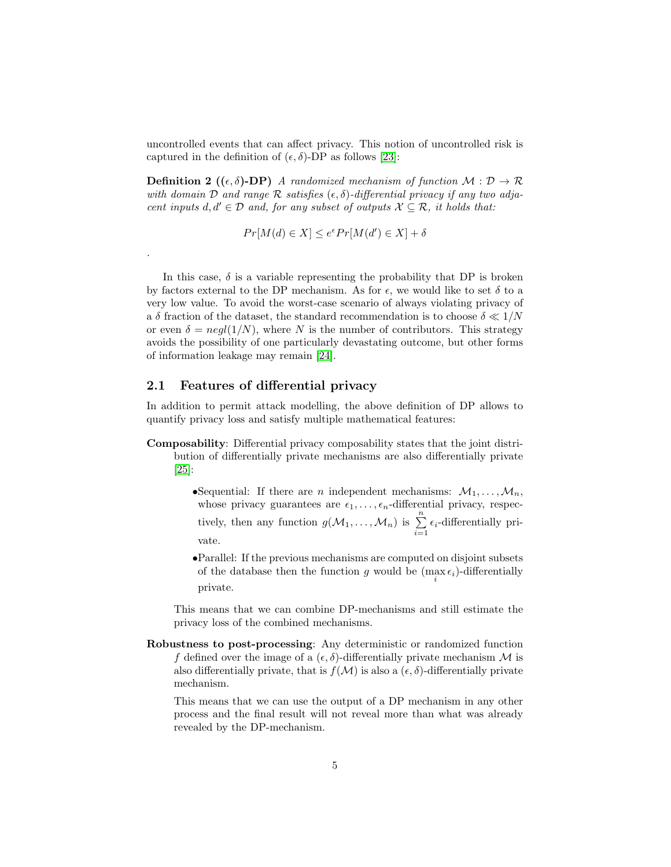uncontrolled events that can affect privacy. This notion of uncontrolled risk is captured in the definition of  $(\epsilon, \delta)$ -DP as follows [\[23\]](#page-23-3):

**Definition 2** ( $(\epsilon, \delta)$ -**DP**) A randomized mechanism of function  $\mathcal{M}: \mathcal{D} \to \mathcal{R}$ with domain D and range R satisfies  $(\epsilon, \delta)$ -differential privacy if any two adjacent inputs  $d, d' \in \mathcal{D}$  and, for any subset of outputs  $\mathcal{X} \subseteq \mathcal{R}$ , it holds that:

$$
Pr[M(d) \in X] \le e^{\epsilon} Pr[M(d') \in X] + \delta
$$

In this case,  $\delta$  is a variable representing the probability that DP is broken by factors external to the DP mechanism. As for  $\epsilon$ , we would like to set  $\delta$  to a very low value. To avoid the worst-case scenario of always violating privacy of a δ fraction of the dataset, the standard recommendation is to choose  $\delta \ll 1/N$ or even  $\delta = neg(1/N)$ , where N is the number of contributors. This strategy avoids the possibility of one particularly devastating outcome, but other forms of information leakage may remain [\[24\]](#page-23-4).

## 2.1 Features of differential privacy

.

In addition to permit attack modelling, the above definition of DP allows to quantify privacy loss and satisfy multiple mathematical features:

- Composability: Differential privacy composability states that the joint distribution of differentially private mechanisms are also differentially private [\[25\]](#page-23-5):
	- •Sequential: If there are *n* independent mechanisms:  $M_1, \ldots, M_n$ , whose privacy guarantees are  $\epsilon_1, \ldots, \epsilon_n$ -differential privacy, respectively, then any function  $g(\mathcal{M}_1, \ldots, \mathcal{M}_n)$  is  $\sum_{i=1}^n \epsilon_i$ -differentially private.
	- •Parallel: If the previous mechanisms are computed on disjoint subsets of the database then the function g would be  $(\max_i \epsilon_i)$ -differentially private.

This means that we can combine DP-mechanisms and still estimate the privacy loss of the combined mechanisms.

Robustness to post-processing: Any deterministic or randomized function f defined over the image of a  $(\epsilon, \delta)$ -differentially private mechanism M is also differentially private, that is  $f(\mathcal{M})$  is also a  $(\epsilon, \delta)$ -differentially private mechanism.

This means that we can use the output of a DP mechanism in any other process and the final result will not reveal more than what was already revealed by the DP-mechanism.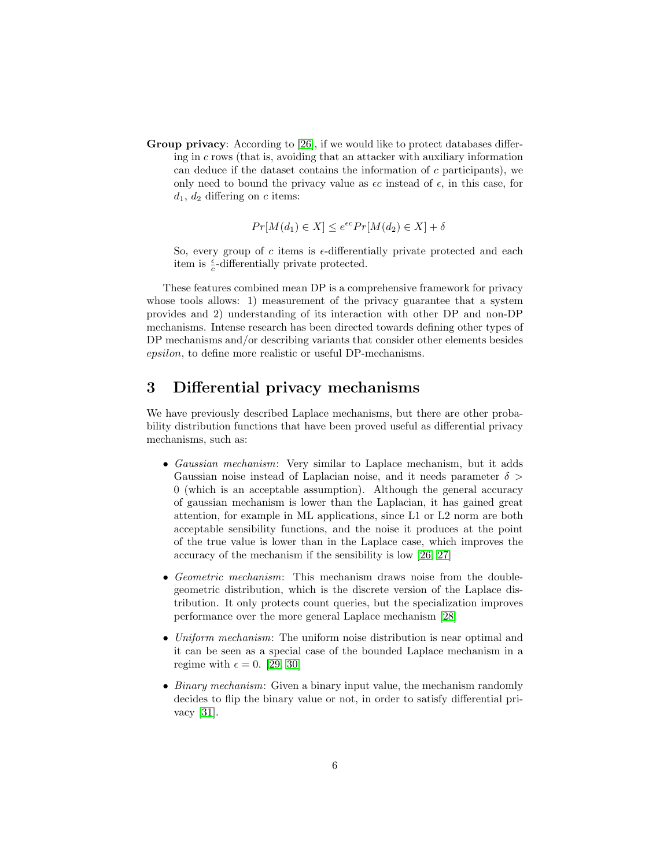Group privacy: According to [\[26\]](#page-23-6), if we would like to protect databases differing in c rows (that is, avoiding that an attacker with auxiliary information can deduce if the dataset contains the information of  $c$  participants), we only need to bound the privacy value as  $\epsilon c$  instead of  $\epsilon$ , in this case, for  $d_1, d_2$  differing on c items:

$$
Pr[M(d_1) \in X] \le e^{\epsilon c} Pr[M(d_2) \in X] + \delta
$$

So, every group of c items is  $\epsilon$ -differentially private protected and each item is  $\frac{\epsilon}{c}$ -differentially private protected.

These features combined mean DP is a comprehensive framework for privacy whose tools allows: 1) measurement of the privacy guarantee that a system provides and 2) understanding of its interaction with other DP and non-DP mechanisms. Intense research has been directed towards defining other types of DP mechanisms and/or describing variants that consider other elements besides epsilon, to define more realistic or useful DP-mechanisms.

# <span id="page-5-0"></span>3 Differential privacy mechanisms

We have previously described Laplace mechanisms, but there are other probability distribution functions that have been proved useful as differential privacy mechanisms, such as:

- Gaussian mechanism: Very similar to Laplace mechanism, but it adds Gaussian noise instead of Laplacian noise, and it needs parameter  $\delta$ 0 (which is an acceptable assumption). Although the general accuracy of gaussian mechanism is lower than the Laplacian, it has gained great attention, for example in ML applications, since L1 or L2 norm are both acceptable sensibility functions, and the noise it produces at the point of the true value is lower than in the Laplace case, which improves the accuracy of the mechanism if the sensibility is low [\[26,](#page-23-6) [27\]](#page-23-7)
- Geometric mechanism: This mechanism draws noise from the doublegeometric distribution, which is the discrete version of the Laplace distribution. It only protects count queries, but the specialization improves performance over the more general Laplace mechanism [\[28\]](#page-23-8)
- Uniform mechanism: The uniform noise distribution is near optimal and it can be seen as a special case of the bounded Laplace mechanism in a regime with  $\epsilon = 0$ . [\[29,](#page-23-9) [30\]](#page-23-10)
- Binary mechanism: Given a binary input value, the mechanism randomly decides to flip the binary value or not, in order to satisfy differential privacy [\[31\]](#page-23-11).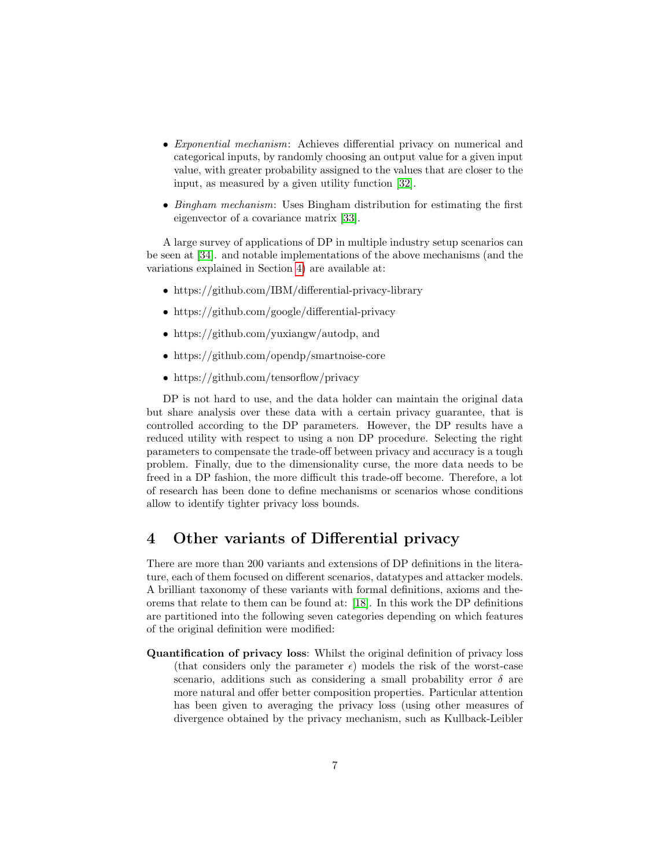- Exponential mechanism: Achieves differential privacy on numerical and categorical inputs, by randomly choosing an output value for a given input value, with greater probability assigned to the values that are closer to the input, as measured by a given utility function [\[32\]](#page-23-12).
- Bingham mechanism: Uses Bingham distribution for estimating the first eigenvector of a covariance matrix [\[33\]](#page-24-0).

A large survey of applications of DP in multiple industry setup scenarios can be seen at [\[34\]](#page-24-1). and notable implementations of the above mechanisms (and the variations explained in Section [4\)](#page-6-0) are available at:

- https://github.com/IBM/differential-privacy-library
- https://github.com/google/differential-privacy
- https://github.com/yuxiangw/autodp, and
- https://github.com/opendp/smartnoise-core
- https://github.com/tensorflow/privacy

DP is not hard to use, and the data holder can maintain the original data but share analysis over these data with a certain privacy guarantee, that is controlled according to the DP parameters. However, the DP results have a reduced utility with respect to using a non DP procedure. Selecting the right parameters to compensate the trade-off between privacy and accuracy is a tough problem. Finally, due to the dimensionality curse, the more data needs to be freed in a DP fashion, the more difficult this trade-off become. Therefore, a lot of research has been done to define mechanisms or scenarios whose conditions allow to identify tighter privacy loss bounds.

# <span id="page-6-0"></span>4 Other variants of Differential privacy

There are more than 200 variants and extensions of DP definitions in the literature, each of them focused on different scenarios, datatypes and attacker models. A brilliant taxonomy of these variants with formal definitions, axioms and theorems that relate to them can be found at: [\[18\]](#page-22-14). In this work the DP definitions are partitioned into the following seven categories depending on which features of the original definition were modified:

Quantification of privacy loss: Whilst the original definition of privacy loss (that considers only the parameter  $\epsilon$ ) models the risk of the worst-case scenario, additions such as considering a small probability error  $\delta$  are more natural and offer better composition properties. Particular attention has been given to averaging the privacy loss (using other measures of divergence obtained by the privacy mechanism, such as Kullback-Leibler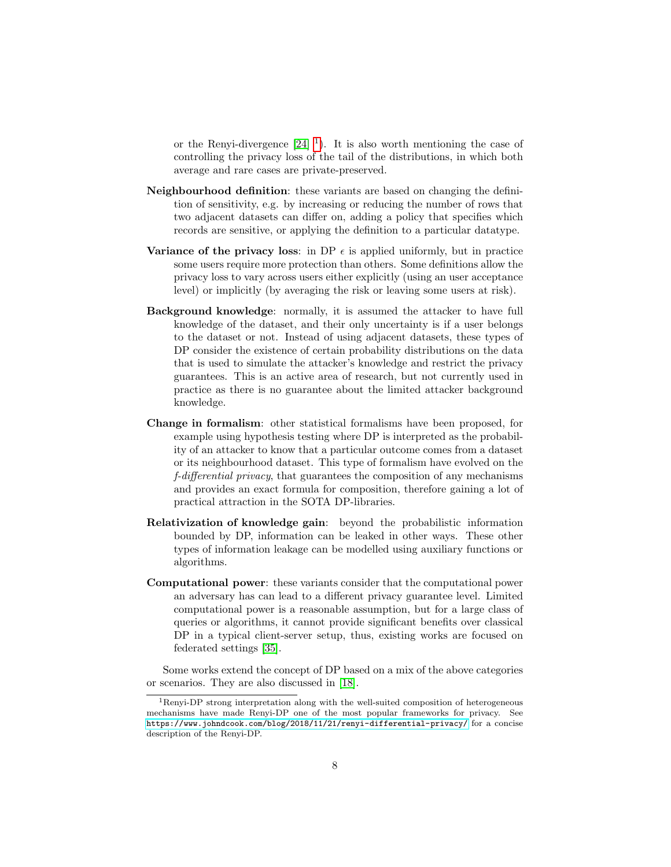or the Renyi-divergence  $[24]$ <sup>[1](#page-7-0)</sup>). It is also worth mentioning the case of controlling the privacy loss of the tail of the distributions, in which both average and rare cases are private-preserved.

- Neighbourhood definition: these variants are based on changing the definition of sensitivity, e.g. by increasing or reducing the number of rows that two adjacent datasets can differ on, adding a policy that specifies which records are sensitive, or applying the definition to a particular datatype.
- Variance of the privacy loss: in DP  $\epsilon$  is applied uniformly, but in practice some users require more protection than others. Some definitions allow the privacy loss to vary across users either explicitly (using an user acceptance level) or implicitly (by averaging the risk or leaving some users at risk).
- Background knowledge: normally, it is assumed the attacker to have full knowledge of the dataset, and their only uncertainty is if a user belongs to the dataset or not. Instead of using adjacent datasets, these types of DP consider the existence of certain probability distributions on the data that is used to simulate the attacker's knowledge and restrict the privacy guarantees. This is an active area of research, but not currently used in practice as there is no guarantee about the limited attacker background knowledge.
- Change in formalism: other statistical formalisms have been proposed, for example using hypothesis testing where DP is interpreted as the probability of an attacker to know that a particular outcome comes from a dataset or its neighbourhood dataset. This type of formalism have evolved on the f-differential privacy, that guarantees the composition of any mechanisms and provides an exact formula for composition, therefore gaining a lot of practical attraction in the SOTA DP-libraries.
- Relativization of knowledge gain: beyond the probabilistic information bounded by DP, information can be leaked in other ways. These other types of information leakage can be modelled using auxiliary functions or algorithms.
- Computational power: these variants consider that the computational power an adversary has can lead to a different privacy guarantee level. Limited computational power is a reasonable assumption, but for a large class of queries or algorithms, it cannot provide significant benefits over classical DP in a typical client-server setup, thus, existing works are focused on federated settings [\[35\]](#page-24-2).

Some works extend the concept of DP based on a mix of the above categories or scenarios. They are also discussed in [\[18\]](#page-22-14).

<span id="page-7-0"></span> $1$ Renyi-DP strong interpretation along with the well-suited composition of heterogeneous mechanisms have made Renyi-DP one of the most popular frameworks for privacy. See <https://www.johndcook.com/blog/2018/11/21/renyi-differential-privacy/> for a concise description of the Renyi-DP.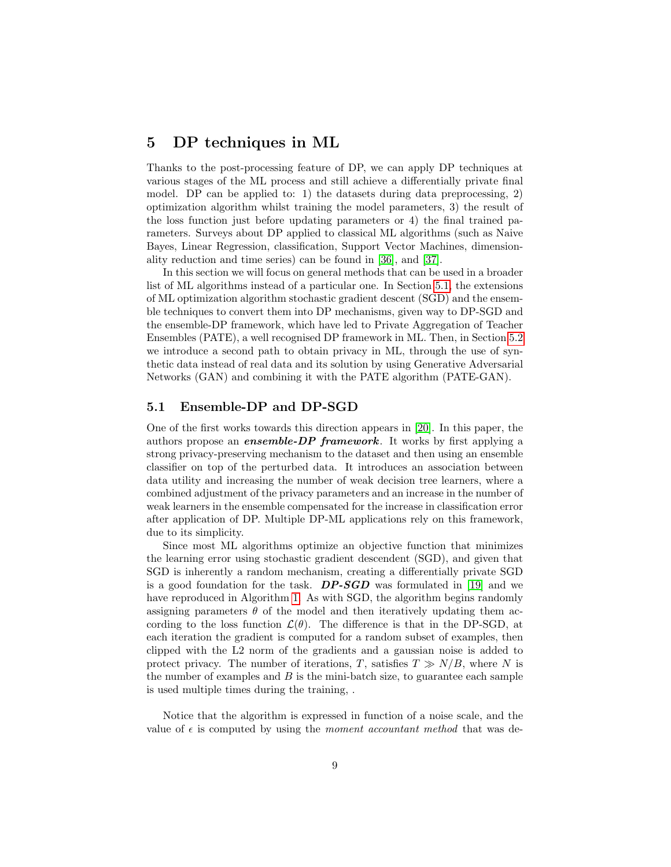## 5 DP techniques in ML

Thanks to the post-processing feature of DP, we can apply DP techniques at various stages of the ML process and still achieve a differentially private final model. DP can be applied to: 1) the datasets during data preprocessing, 2) optimization algorithm whilst training the model parameters, 3) the result of the loss function just before updating parameters or 4) the final trained parameters. Surveys about DP applied to classical ML algorithms (such as Naive Bayes, Linear Regression, classification, Support Vector Machines, dimensionality reduction and time series) can be found in [\[36\]](#page-24-3), and [\[37\]](#page-24-4).

In this section we will focus on general methods that can be used in a broader list of ML algorithms instead of a particular one. In Section [5.1,](#page-8-0) the extensions of ML optimization algorithm stochastic gradient descent (SGD) and the ensemble techniques to convert them into DP mechanisms, given way to DP-SGD and the ensemble-DP framework, which have led to Private Aggregation of Teacher Ensembles (PATE), a well recognised DP framework in ML. Then, in Section [5.2](#page-11-0) we introduce a second path to obtain privacy in ML, through the use of synthetic data instead of real data and its solution by using Generative Adversarial Networks (GAN) and combining it with the PATE algorithm (PATE-GAN).

### <span id="page-8-0"></span>5.1 Ensemble-DP and DP-SGD

One of the first works towards this direction appears in [\[20\]](#page-23-0). In this paper, the authors propose an ensemble-DP framework. It works by first applying a strong privacy-preserving mechanism to the dataset and then using an ensemble classifier on top of the perturbed data. It introduces an association between data utility and increasing the number of weak decision tree learners, where a combined adjustment of the privacy parameters and an increase in the number of weak learners in the ensemble compensated for the increase in classification error after application of DP. Multiple DP-ML applications rely on this framework, due to its simplicity.

Since most ML algorithms optimize an objective function that minimizes the learning error using stochastic gradient descendent (SGD), and given that SGD is inherently a random mechanism, creating a differentially private SGD is a good foundation for the task.  $DP-SGD$  was formulated in [\[19\]](#page-22-15) and we have reproduced in Algorithm [1.](#page-9-0) As with SGD, the algorithm begins randomly assigning parameters  $\theta$  of the model and then iteratively updating them according to the loss function  $\mathcal{L}(\theta)$ . The difference is that in the DP-SGD, at each iteration the gradient is computed for a random subset of examples, then clipped with the L2 norm of the gradients and a gaussian noise is added to protect privacy. The number of iterations, T, satisfies  $T \gg N/B$ , where N is the number of examples and  $B$  is the mini-batch size, to guarantee each sample is used multiple times during the training, .

Notice that the algorithm is expressed in function of a noise scale, and the value of  $\epsilon$  is computed by using the *moment accountant method* that was de-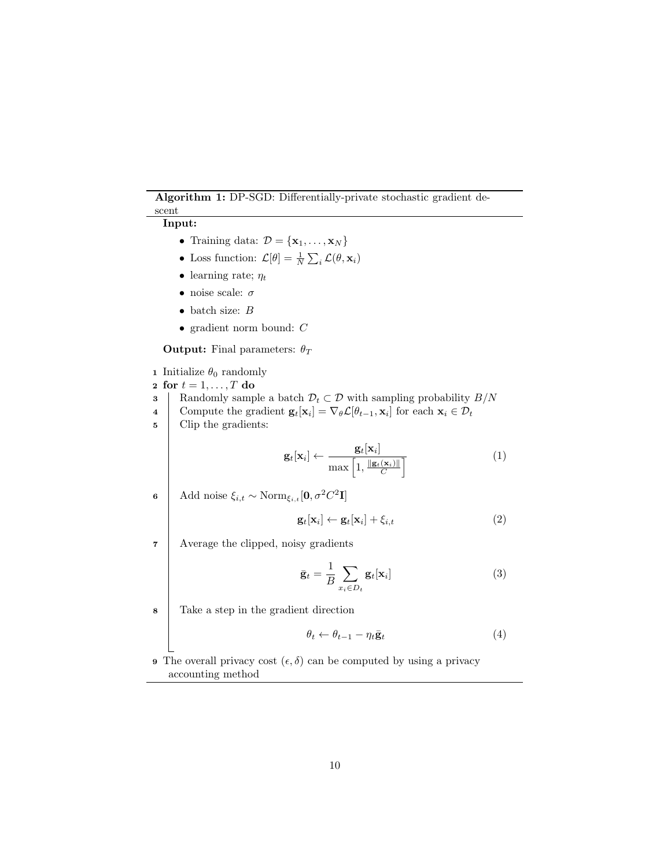### Algorithm 1: DP-SGD: Differentially-private stochastic gradient descent

## <span id="page-9-0"></span>Input:

- Training data:  $\mathcal{D} = {\mathbf{x}_1, \dots, \mathbf{x}_N}$
- Loss function:  $\mathcal{L}[\theta] = \frac{1}{N} \sum_i \mathcal{L}(\theta, \mathbf{x}_i)$
- learning rate;  $\eta_t$
- $\bullet\,$ noise scale: $\sigma$
- $\bullet$  batch size:  $B$
- gradient norm bound: C

**Output:** Final parameters:  $\theta_T$ 

**1** Initialize  $\theta_0$  randomly

$$
2 \text{ for } t = 1, \ldots, T \text{ do}
$$

3 Randomly sample a batch  $\mathcal{D}_t \subset \mathcal{D}$  with sampling probability  $B/N$ 

- 4 Compute the gradient  $\mathbf{g}_t[\mathbf{x}_i] = \nabla_{\theta} \mathcal{L}[\theta_{t-1}, \mathbf{x}_i]$  for each  $\mathbf{x}_i \in \mathcal{D}_t$
- 5 Clip the gradients:

$$
\mathbf{g}_t[\mathbf{x}_i] \leftarrow \frac{\mathbf{g}_t[\mathbf{x}_i]}{\max\left[1, \frac{\|\mathbf{g}_t(\mathbf{x}_i)\|}{C}\right]}\tag{1}
$$

6 | Add noise  $\xi_{i,t} \sim \text{Norm}_{\xi_{i,t}}[\mathbf{0}, \sigma^2 C^2 \mathbf{I}]$ 

$$
\mathbf{g}_t[\mathbf{x}_i] \leftarrow \mathbf{g}_t[\mathbf{x}_i] + \xi_{i,t} \tag{2}
$$

7 Average the clipped, noisy gradients

$$
\bar{\mathbf{g}}_t = \frac{1}{B} \sum_{x_i \in D_t} \mathbf{g}_t[\mathbf{x}_i]
$$
 (3)

<sup>8</sup> Take a step in the gradient direction

$$
\theta_t \leftarrow \theta_{t-1} - \eta_t \bar{\mathbf{g}}_t \tag{4}
$$

**9** The overall privacy cost  $(\epsilon, \delta)$  can be computed by using a privacy accounting method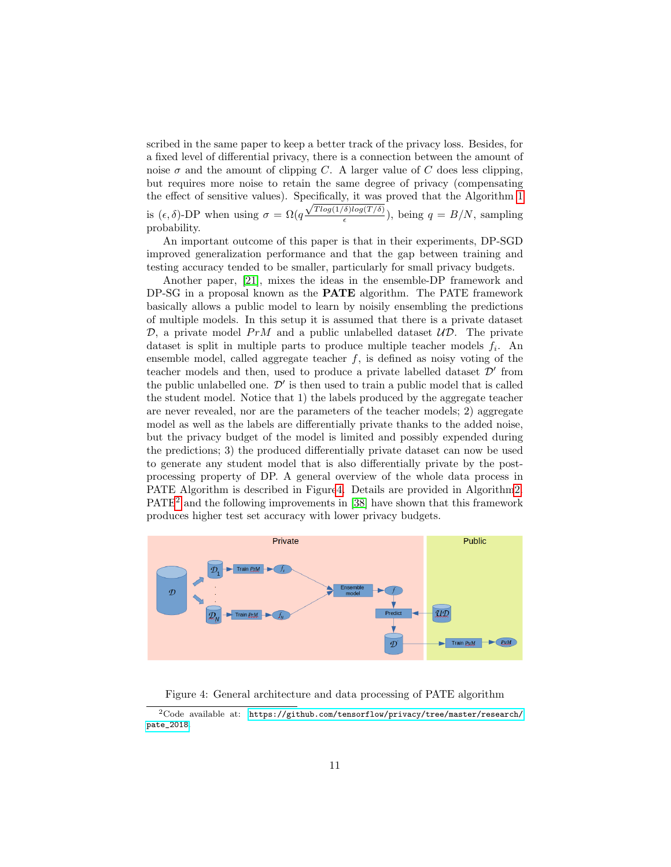scribed in the same paper to keep a better track of the privacy loss. Besides, for a fixed level of differential privacy, there is a connection between the amount of noise  $\sigma$  and the amount of clipping C. A larger value of C does less clipping, but requires more noise to retain the same degree of privacy (compensating the effect of sensitive values). Specifically, it was proved that the Algorithm [1](#page-9-0) is  $(\epsilon, \delta)$ -DP when using  $\sigma = \Omega(q \frac{\sqrt{T \log(1/\delta) \log(T/\delta)}}{\epsilon})$  $\frac{\partial \log(1/\theta)}{\epsilon}$ , being  $q = B/N$ , sampling probability.

An important outcome of this paper is that in their experiments, DP-SGD improved generalization performance and that the gap between training and testing accuracy tended to be smaller, particularly for small privacy budgets.

Another paper, [\[21\]](#page-23-1), mixes the ideas in the ensemble-DP framework and DP-SG in a proposal known as the PATE algorithm. The PATE framework basically allows a public model to learn by noisily ensembling the predictions of multiple models. In this setup it is assumed that there is a private dataset  $\mathcal{D}$ , a private model PrM and a public unlabelled dataset  $\mathcal{UD}$ . The private dataset is split in multiple parts to produce multiple teacher models  $f_i$ . An ensemble model, called aggregate teacher  $f$ , is defined as noisy voting of the teacher models and then, used to produce a private labelled dataset  $\mathcal{D}'$  from the public unlabelled one.  $\mathcal{D}'$  is then used to train a public model that is called the student model. Notice that 1) the labels produced by the aggregate teacher are never revealed, nor are the parameters of the teacher models; 2) aggregate model as well as the labels are differentially private thanks to the added noise, but the privacy budget of the model is limited and possibly expended during the predictions; 3) the produced differentially private dataset can now be used to generate any student model that is also differentially private by the postprocessing property of DP. A general overview of the whole data process in PATE Algorithm is described in Figur[e4.](#page-10-0) Details are provided in Algorith[m2.](#page-11-1) PATE[2](#page-10-1) and the following improvements in [\[38\]](#page-24-5) have shown that this framework produces higher test set accuracy with lower privacy budgets.



<span id="page-10-0"></span>Figure 4: General architecture and data processing of PATE algorithm

<span id="page-10-1"></span> $2C$ ode available at: [https://github.com/tensorflow/privacy/tree/master/research/](https://github.com/tensorflow/privacy/tree/master/research/pate_2018) [pate\\_2018](https://github.com/tensorflow/privacy/tree/master/research/pate_2018).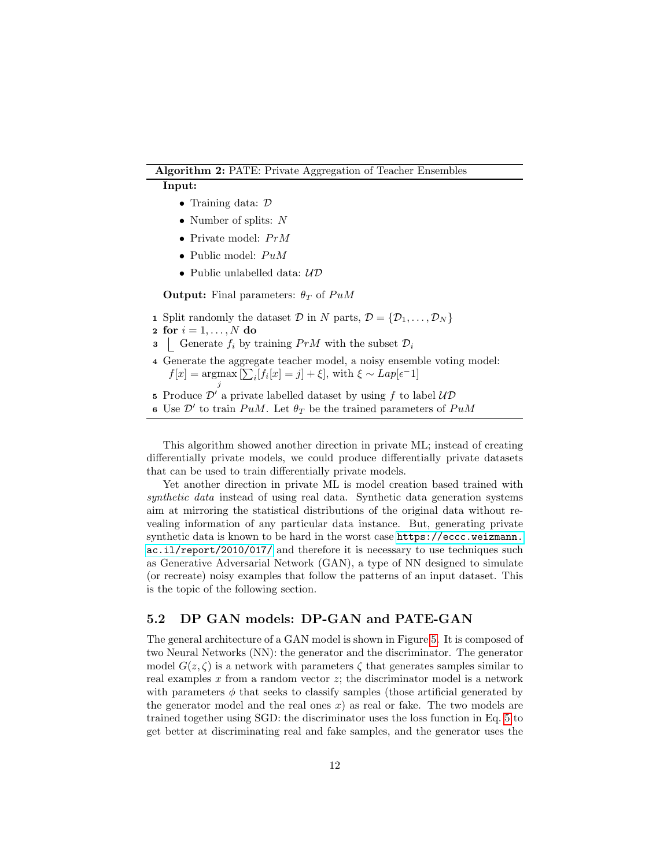#### Algorithm 2: PATE: Private Aggregation of Teacher Ensembles

#### <span id="page-11-1"></span>Input:

- Training data: D
- Number of splits: N
- Private model:  $PrM$
- Public model:  $PuM$
- Public unlabelled data:  $\mathcal{UD}$

**Output:** Final parameters:  $\theta_T$  of PuM

- 1 Split randomly the dataset D in N parts,  $\mathcal{D} = {\mathcal{D}_1, \ldots, \mathcal{D}_N}$
- 2 for  $i = 1, ..., N$  do
- 3 Generate  $f_i$  by training  $PrM$  with the subset  $\mathcal{D}_i$
- 4 Generate the aggregate teacher model, a noisy ensemble voting model:  $f[x] = \operatorname{argmax} \left[ \sum_i [f_i[x] = j] + \xi \right]$ , with  $\xi \sim Lap[\epsilon^{-1}]$ j
- 5 Produce  $\mathcal{D}'$  a private labelled dataset by using f to label  $\mathcal{UD}'$
- 6 Use  $\mathcal{D}'$  to train  $PuM$ . Let  $\theta_T$  be the trained parameters of  $PuM$

This algorithm showed another direction in private ML; instead of creating differentially private models, we could produce differentially private datasets that can be used to train differentially private models.

Yet another direction in private ML is model creation based trained with synthetic data instead of using real data. Synthetic data generation systems aim at mirroring the statistical distributions of the original data without revealing information of any particular data instance. But, generating private synthetic data is known to be hard in the worst case [https://eccc.weizmann.](https://eccc.weizmann.ac.il/report/2010/017/) [ac.il/report/2010/017/](https://eccc.weizmann.ac.il/report/2010/017/) and therefore it is necessary to use techniques such as Generative Adversarial Network (GAN), a type of NN designed to simulate (or recreate) noisy examples that follow the patterns of an input dataset. This is the topic of the following section.

### <span id="page-11-0"></span>5.2 DP GAN models: DP-GAN and PATE-GAN

The general architecture of a GAN model is shown in Figure [5.](#page-12-0) It is composed of two Neural Networks (NN): the generator and the discriminator. The generator model  $G(z, \zeta)$  is a network with parameters  $\zeta$  that generates samples similar to real examples x from a random vector  $z$ ; the discriminator model is a network with parameters  $\phi$  that seeks to classify samples (those artificial generated by the generator model and the real ones  $x$ ) as real or fake. The two models are trained together using SGD: the discriminator uses the loss function in Eq. [5](#page-12-1) to get better at discriminating real and fake samples, and the generator uses the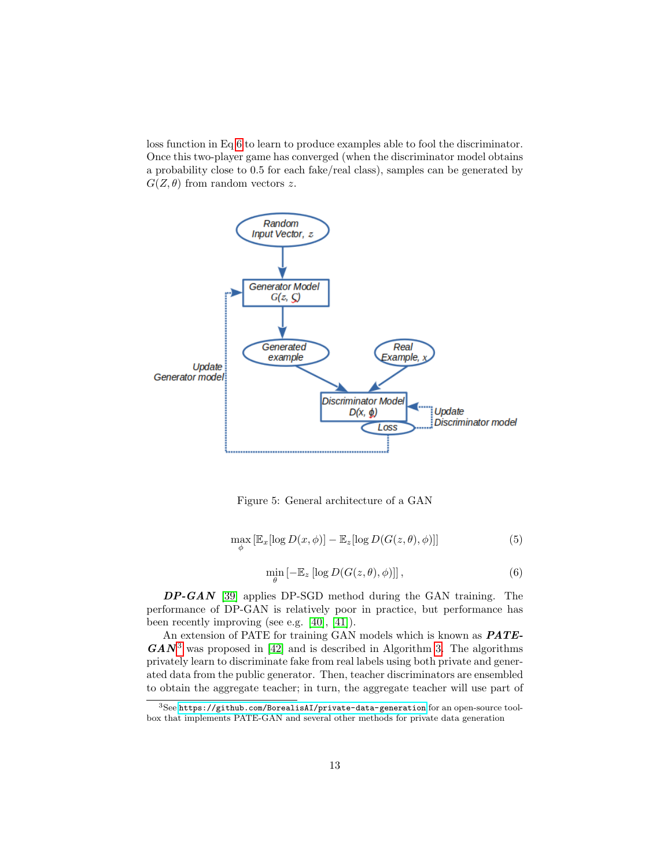loss function in Eq [6](#page-12-2) to learn to produce examples able to fool the discriminator. Once this two-player game has converged (when the discriminator model obtains a probability close to 0.5 for each fake/real class), samples can be generated by  $G(Z, \theta)$  from random vectors z.



<span id="page-12-0"></span>Figure 5: General architecture of a GAN

$$
\max_{\phi} \left[ \mathbb{E}_x[\log D(x,\phi)] - \mathbb{E}_z[\log D(G(z,\theta),\phi)] \right]
$$
 (5)

$$
\min_{\theta} \left[ -\mathbb{E}_z \left[ \log D(G(z, \theta), \phi) \right] \right],\tag{6}
$$

<span id="page-12-2"></span><span id="page-12-1"></span>DP-GAN [\[39\]](#page-24-6) applies DP-SGD method during the GAN training. The performance of DP-GAN is relatively poor in practice, but performance has been recently improving (see e.g. [\[40\]](#page-24-7), [\[41\]](#page-24-8)).

An extension of PATE for training GAN models which is known as **PATE**- $GAN<sup>3</sup>$  $GAN<sup>3</sup>$  $GAN<sup>3</sup>$  was proposed in [\[42\]](#page-24-9) and is described in Algorithm [3.](#page-13-0) The algorithms privately learn to discriminate fake from real labels using both private and generated data from the public generator. Then, teacher discriminators are ensembled to obtain the aggregate teacher; in turn, the aggregate teacher will use part of

<span id="page-12-3"></span> $^3{\rm See}$ <https://github.com/BorealisAI/private-data-generation> for an open-source toolbox that implements PATE-GAN and several other methods for private data generation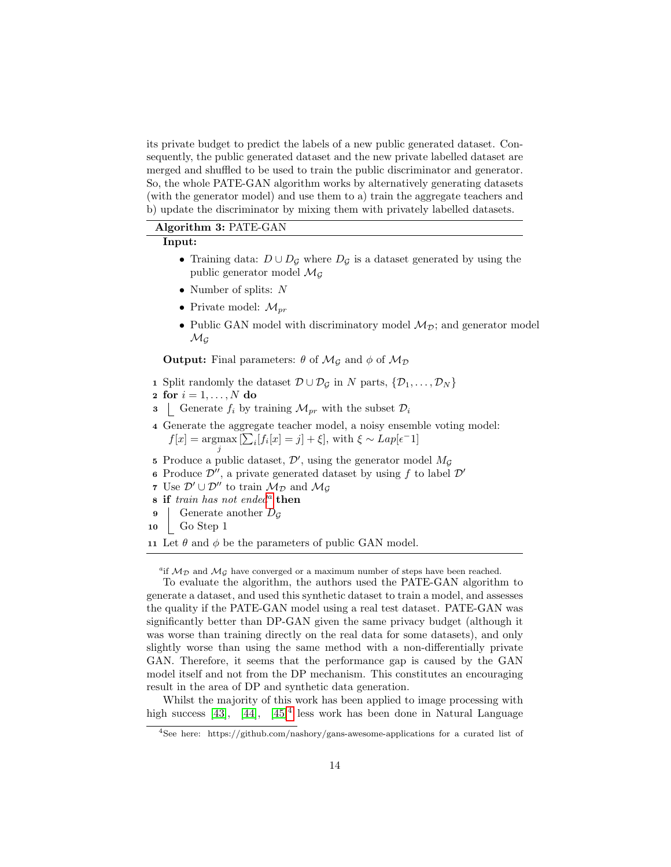its private budget to predict the labels of a new public generated dataset. Consequently, the public generated dataset and the new private labelled dataset are merged and shuffled to be used to train the public discriminator and generator. So, the whole PATE-GAN algorithm works by alternatively generating datasets (with the generator model) and use them to a) train the aggregate teachers and b) update the discriminator by mixing them with privately labelled datasets.

#### Algorithm 3: PATE-GAN

## <span id="page-13-0"></span>Input:

- Training data:  $D \cup D_{\mathcal{G}}$  where  $D_{\mathcal{G}}$  is a dataset generated by using the public generator model  $\mathcal{M}_{\mathcal{G}}$
- Number of splits: N
- Private model:  $\mathcal{M}_{pr}$
- Public GAN model with discriminatory model  $M_{\mathcal{D}}$ ; and generator model  $\mathcal{M}_G$

**Output:** Final parameters:  $\theta$  of  $\mathcal{M}_G$  and  $\phi$  of  $\mathcal{M}_D$ 

- 1 Split randomly the dataset  $\mathcal{D} \cup \mathcal{D}_G$  in N parts,  $\{\mathcal{D}_1, \ldots, \mathcal{D}_N\}$
- 2 for  $i = 1, \ldots, N$  do
- 3 Generate  $f_i$  by training  $\mathcal{M}_{pr}$  with the subset  $\mathcal{D}_i$
- 4 Generate the aggregate teacher model, a noisy ensemble voting model:  $f[x] = \operatorname*{argmax}_{j} \left[ \sum_{i} [f_i[x] = j] + \xi \right], \text{ with } \xi \sim Lap[\epsilon^{-1}]$
- 5 Produce a public dataset,  $\mathcal{D}'$ , using the generator model  $M_{\mathcal{G}}$
- 6 Produce  $\mathcal{D}''$ , a private generated dataset by using f to label  $\mathcal{D}'$
- 7 Use  $\mathcal{D}' \cup \mathcal{D}''$  to train  $\mathcal{M}_{\mathcal{D}}$  and  $\mathcal{M}_{\mathcal{G}}$
- $s$  if tr[a](#page-13-1)in has not ended<sup>a</sup> then
- **9** Generate another  $D_G$
- 10 Go Step 1

11 Let  $\theta$  and  $\phi$  be the parameters of public GAN model.

<span id="page-13-1"></span>"if  $M_{\mathcal{D}}$  and  $M_{\mathcal{G}}$  have converged or a maximum number of steps have been reached.

To evaluate the algorithm, the authors used the PATE-GAN algorithm to generate a dataset, and used this synthetic dataset to train a model, and assesses the quality if the PATE-GAN model using a real test dataset. PATE-GAN was significantly better than DP-GAN given the same privacy budget (although it was worse than training directly on the real data for some datasets), and only slightly worse than using the same method with a non-differentially private GAN. Therefore, it seems that the performance gap is caused by the GAN model itself and not from the DP mechanism. This constitutes an encouraging result in the area of DP and synthetic data generation.

Whilst the majority of this work has been applied to image processing with high success  $[43]$ , [44],  $[45]^4$  less work has been done in Natural Language

<span id="page-13-2"></span><sup>4</sup>See here: https://github.com/nashory/gans-awesome-applications for a curated list of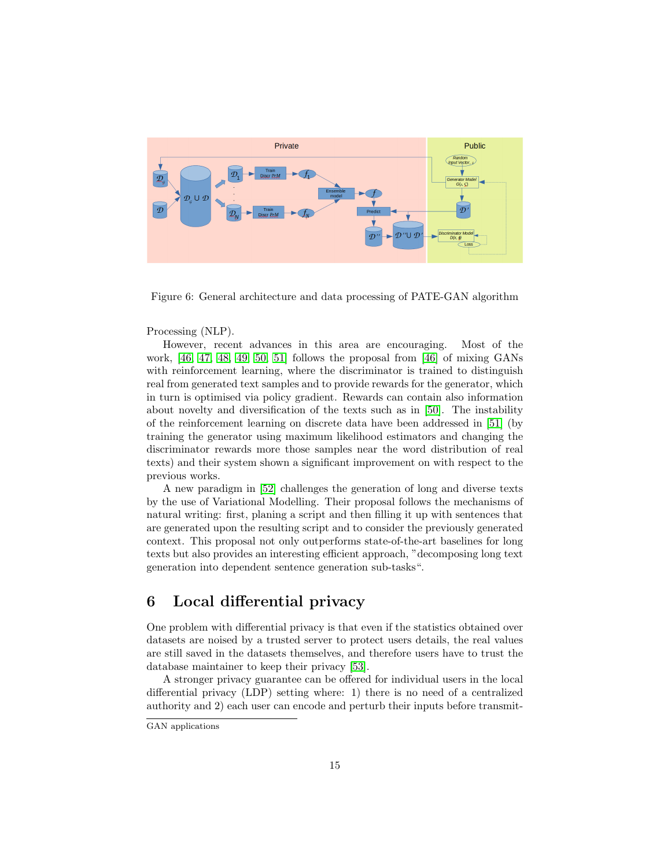

Figure 6: General architecture and data processing of PATE-GAN algorithm

#### Processing (NLP).

However, recent advances in this area are encouraging. Most of the work,  $[46, 47, 48, 49, 50, 51]$  $[46, 47, 48, 49, 50, 51]$  $[46, 47, 48, 49, 50, 51]$  $[46, 47, 48, 49, 50, 51]$  $[46, 47, 48, 49, 50, 51]$  $[46, 47, 48, 49, 50, 51]$  follows the proposal from  $[46]$  of mixing GANs with reinforcement learning, where the discriminator is trained to distinguish real from generated text samples and to provide rewards for the generator, which in turn is optimised via policy gradient. Rewards can contain also information about novelty and diversification of the texts such as in [\[50\]](#page-25-5). The instability of the reinforcement learning on discrete data have been addressed in [\[51\]](#page-25-6) (by training the generator using maximum likelihood estimators and changing the discriminator rewards more those samples near the word distribution of real texts) and their system shown a significant improvement on with respect to the previous works.

A new paradigm in [\[52\]](#page-25-7) challenges the generation of long and diverse texts by the use of Variational Modelling. Their proposal follows the mechanisms of natural writing: first, planing a script and then filling it up with sentences that are generated upon the resulting script and to consider the previously generated context. This proposal not only outperforms state-of-the-art baselines for long texts but also provides an interesting efficient approach, "decomposing long text generation into dependent sentence generation sub-tasks".

# <span id="page-14-0"></span>6 Local differential privacy

One problem with differential privacy is that even if the statistics obtained over datasets are noised by a trusted server to protect users details, the real values are still saved in the datasets themselves, and therefore users have to trust the database maintainer to keep their privacy [\[53\]](#page-25-8).

A stronger privacy guarantee can be offered for individual users in the local differential privacy (LDP) setting where: 1) there is no need of a centralized authority and 2) each user can encode and perturb their inputs before transmit-

GAN applications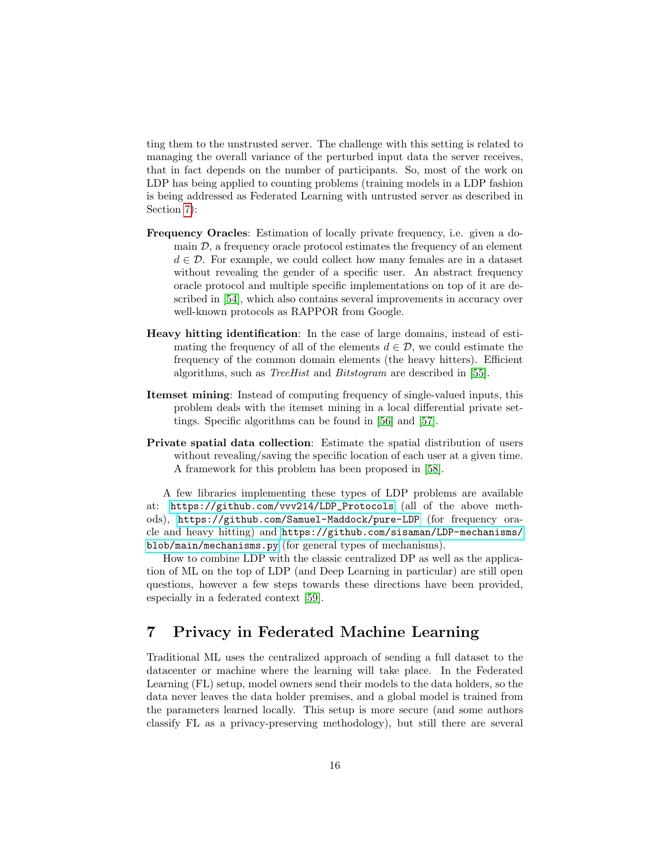ting them to the unstrusted server. The challenge with this setting is related to managing the overall variance of the perturbed input data the server receives, that in fact depends on the number of participants. So, most of the work on LDP has being applied to counting problems (training models in a LDP fashion is being addressed as Federated Learning with untrusted server as described in Section [7\)](#page-15-0):

- Frequency Oracles: Estimation of locally private frequency, i.e. given a domain  $\mathcal{D}$ , a frequency oracle protocol estimates the frequency of an element  $d \in \mathcal{D}$ . For example, we could collect how many females are in a dataset without revealing the gender of a specific user. An abstract frequency oracle protocol and multiple specific implementations on top of it are described in [\[54\]](#page-25-9), which also contains several improvements in accuracy over well-known protocols as RAPPOR from Google.
- Heavy hitting identification: In the case of large domains, instead of estimating the frequency of all of the elements  $d \in \mathcal{D}$ , we could estimate the frequency of the common domain elements (the heavy hitters). Efficient algorithms, such as TreeHist and Bitstogram are described in [\[55\]](#page-25-10).
- Itemset mining: Instead of computing frequency of single-valued inputs, this problem deals with the itemset mining in a local differential private settings. Specific algorithms can be found in [\[56\]](#page-25-11) and [\[57\]](#page-26-0).
- Private spatial data collection: Estimate the spatial distribution of users without revealing/saving the specific location of each user at a given time. A framework for this problem has been proposed in [\[58\]](#page-26-1).

A few libraries implementing these types of LDP problems are available at: [https://github.com/vvv214/LDP\\_Protocols](https://github.com/vvv214/LDP_Protocols) (all of the above methods), <https://github.com/Samuel-Maddock/pure-LDP> (for frequency oracle and heavy hitting) and [https://github.com/sisaman/LDP-mechanisms/](https://github.com/sisaman/LDP-mechanisms/blob/main/mechanisms.py) [blob/main/mechanisms.py](https://github.com/sisaman/LDP-mechanisms/blob/main/mechanisms.py) (for general types of mechanisms).

How to combine LDP with the classic centralized DP as well as the application of ML on the top of LDP (and Deep Learning in particular) are still open questions, however a few steps towards these directions have been provided, especially in a federated context [\[59\]](#page-26-2).

# <span id="page-15-0"></span>7 Privacy in Federated Machine Learning

Traditional ML uses the centralized approach of sending a full dataset to the datacenter or machine where the learning will take place. In the Federated Learning (FL) setup, model owners send their models to the data holders, so the data never leaves the data holder premises, and a global model is trained from the parameters learned locally. This setup is more secure (and some authors classify FL as a privacy-preserving methodology), but still there are several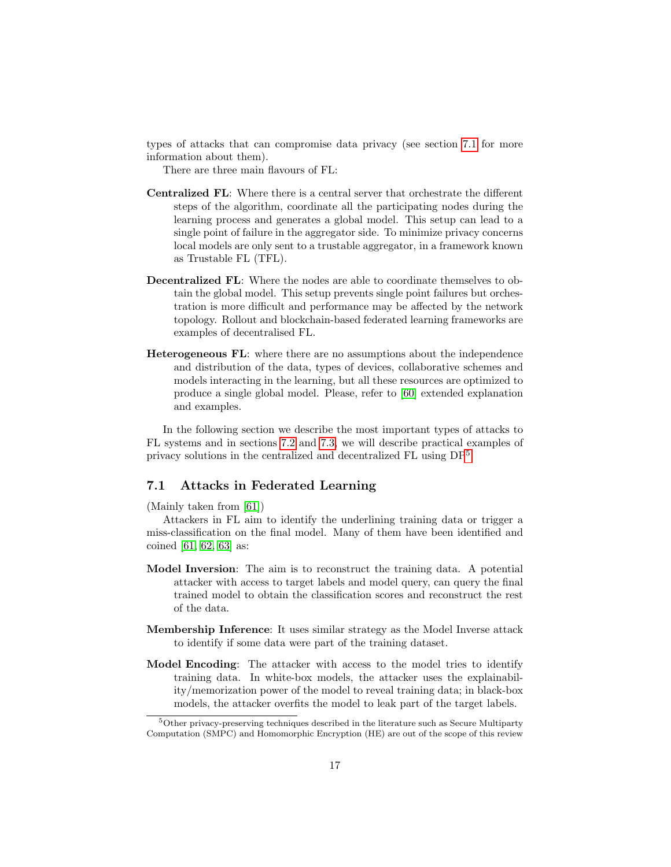types of attacks that can compromise data privacy (see section [7.1](#page-16-0) for more information about them).

There are three main flavours of FL:

- Centralized FL: Where there is a central server that orchestrate the different steps of the algorithm, coordinate all the participating nodes during the learning process and generates a global model. This setup can lead to a single point of failure in the aggregator side. To minimize privacy concerns local models are only sent to a trustable aggregator, in a framework known as Trustable FL (TFL).
- Decentralized FL: Where the nodes are able to coordinate themselves to obtain the global model. This setup prevents single point failures but orchestration is more difficult and performance may be affected by the network topology. Rollout and blockchain-based federated learning frameworks are examples of decentralised FL.
- Heterogeneous FL: where there are no assumptions about the independence and distribution of the data, types of devices, collaborative schemes and models interacting in the learning, but all these resources are optimized to produce a single global model. Please, refer to [\[60\]](#page-26-3) extended explanation and examples.

In the following section we describe the most important types of attacks to FL systems and in sections [7.2](#page-17-0) and [7.3,](#page-18-0) we will describe practical examples of privacy solutions in the centralized and decentralized FL using DP[5](#page-16-1) .

### <span id="page-16-0"></span>7.1 Attacks in Federated Learning

(Mainly taken from [\[61\]](#page-26-4))

Attackers in FL aim to identify the underlining training data or trigger a miss-classification on the final model. Many of them have been identified and coined [\[61,](#page-26-4) [62,](#page-26-5) [63\]](#page-26-6) as:

- Model Inversion: The aim is to reconstruct the training data. A potential attacker with access to target labels and model query, can query the final trained model to obtain the classification scores and reconstruct the rest of the data.
- Membership Inference: It uses similar strategy as the Model Inverse attack to identify if some data were part of the training dataset.
- Model Encoding: The attacker with access to the model tries to identify training data. In white-box models, the attacker uses the explainability/memorization power of the model to reveal training data; in black-box models, the attacker overfits the model to leak part of the target labels.

<span id="page-16-1"></span><sup>5</sup>Other privacy-preserving techniques described in the literature such as Secure Multiparty Computation (SMPC) and Homomorphic Encryption (HE) are out of the scope of this review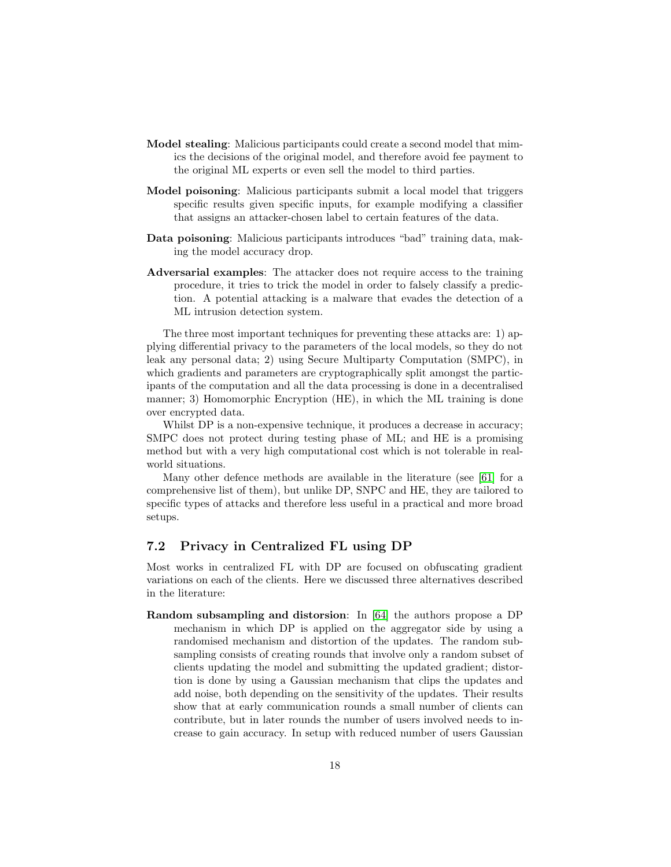- Model stealing: Malicious participants could create a second model that mimics the decisions of the original model, and therefore avoid fee payment to the original ML experts or even sell the model to third parties.
- Model poisoning: Malicious participants submit a local model that triggers specific results given specific inputs, for example modifying a classifier that assigns an attacker-chosen label to certain features of the data.
- Data poisoning: Malicious participants introduces "bad" training data, making the model accuracy drop.
- Adversarial examples: The attacker does not require access to the training procedure, it tries to trick the model in order to falsely classify a prediction. A potential attacking is a malware that evades the detection of a ML intrusion detection system.

The three most important techniques for preventing these attacks are: 1) applying differential privacy to the parameters of the local models, so they do not leak any personal data; 2) using Secure Multiparty Computation (SMPC), in which gradients and parameters are cryptographically split amongst the participants of the computation and all the data processing is done in a decentralised manner; 3) Homomorphic Encryption (HE), in which the ML training is done over encrypted data.

Whilst DP is a non-expensive technique, it produces a decrease in accuracy; SMPC does not protect during testing phase of ML; and HE is a promising method but with a very high computational cost which is not tolerable in realworld situations.

Many other defence methods are available in the literature (see [\[61\]](#page-26-4) for a comprehensive list of them), but unlike DP, SNPC and HE, they are tailored to specific types of attacks and therefore less useful in a practical and more broad setups.

### <span id="page-17-0"></span>7.2 Privacy in Centralized FL using DP

Most works in centralized FL with DP are focused on obfuscating gradient variations on each of the clients. Here we discussed three alternatives described in the literature:

Random subsampling and distorsion: In [\[64\]](#page-26-7) the authors propose a DP mechanism in which DP is applied on the aggregator side by using a randomised mechanism and distortion of the updates. The random subsampling consists of creating rounds that involve only a random subset of clients updating the model and submitting the updated gradient; distortion is done by using a Gaussian mechanism that clips the updates and add noise, both depending on the sensitivity of the updates. Their results show that at early communication rounds a small number of clients can contribute, but in later rounds the number of users involved needs to increase to gain accuracy. In setup with reduced number of users Gaussian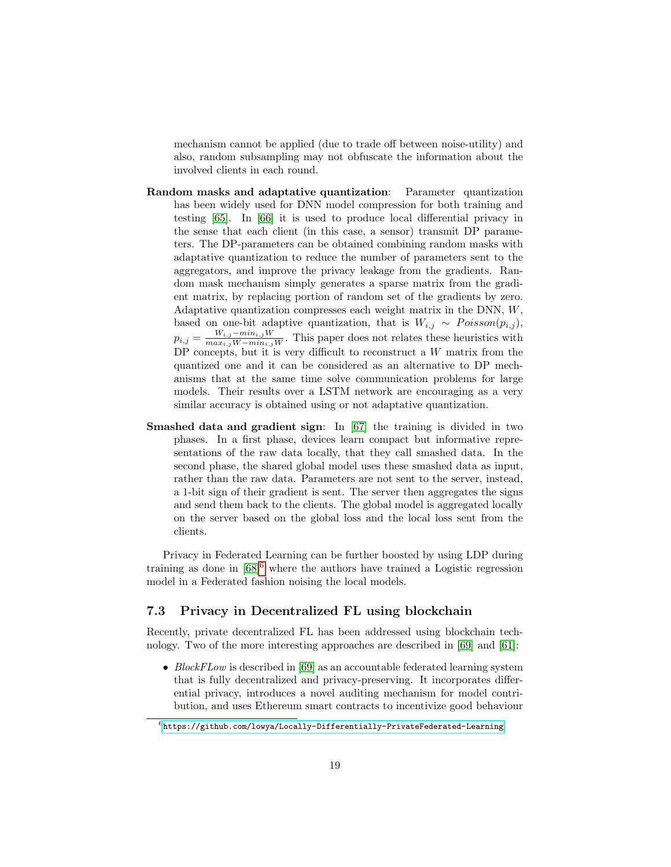mechanism cannot be applied (due to trade off between noise-utility) and also, random subsampling may not obfuscate the information about the involved clients in each round.

- Random masks and adaptative quantization: Parameter quantization has been widely used for DNN model compression for both training and testing [\[65\]](#page-26-8). In [\[66\]](#page-26-9) it is used to produce local differential privacy in the sense that each client (in this case, a sensor) transmit DP parameters. The DP-parameters can be obtained combining random masks with adaptative quantization to reduce the number of parameters sent to the aggregators, and improve the privacy leakage from the gradients. Random mask mechanism simply generates a sparse matrix from the gradient matrix, by replacing portion of random set of the gradients by zero. Adaptative quantization compresses each weight matrix in the DNN, W, based on one-bit adaptive quantization, that is  $W_{i,j} \sim Poisson(p_{i,j}),$  $p_{i,j} = \frac{W_{i,j}-min_{i,j}W}{max_{i,j}W-min_{i,j}W}$ . This paper does not relates these heuristics with DP concepts, but it is very difficult to reconstruct a  $W$  matrix from the quantized one and it can be considered as an alternative to DP mechanisms that at the same time solve communication problems for large models. Their results over a LSTM network are encouraging as a very similar accuracy is obtained using or not adaptative quantization.
- Smashed data and gradient sign: In [\[67\]](#page-26-10) the training is divided in two phases. In a first phase, devices learn compact but informative representations of the raw data locally, that they call smashed data. In the second phase, the shared global model uses these smashed data as input, rather than the raw data. Parameters are not sent to the server, instead, a 1-bit sign of their gradient is sent. The server then aggregates the signs and send them back to the clients. The global model is aggregated locally on the server based on the global loss and the local loss sent from the clients.

Privacy in Federated Learning can be further boosted by using LDP during training as done in  $[68]^6$  $[68]^6$  $[68]^6$  where the authors have trained a Logistic regression model in a Federated fashion noising the local models.

## <span id="page-18-0"></span>7.3 Privacy in Decentralized FL using blockchain

Recently, private decentralized FL has been addressed using blockchain technology. Two of the more interesting approaches are described in [\[69\]](#page-26-12) and [\[61\]](#page-26-4):

• BlockFLow is described in [\[69\]](#page-26-12) as an accountable federated learning system that is fully decentralized and privacy-preserving. It incorporates differential privacy, introduces a novel auditing mechanism for model contribution, and uses Ethereum smart contracts to incentivize good behaviour

<span id="page-18-1"></span> $6$ [https://github.com/lowya/Locally-Differentially-PrivateFederated-Learning](https://github.com/lowya/Locally-Differentially-Private Federated-Learning)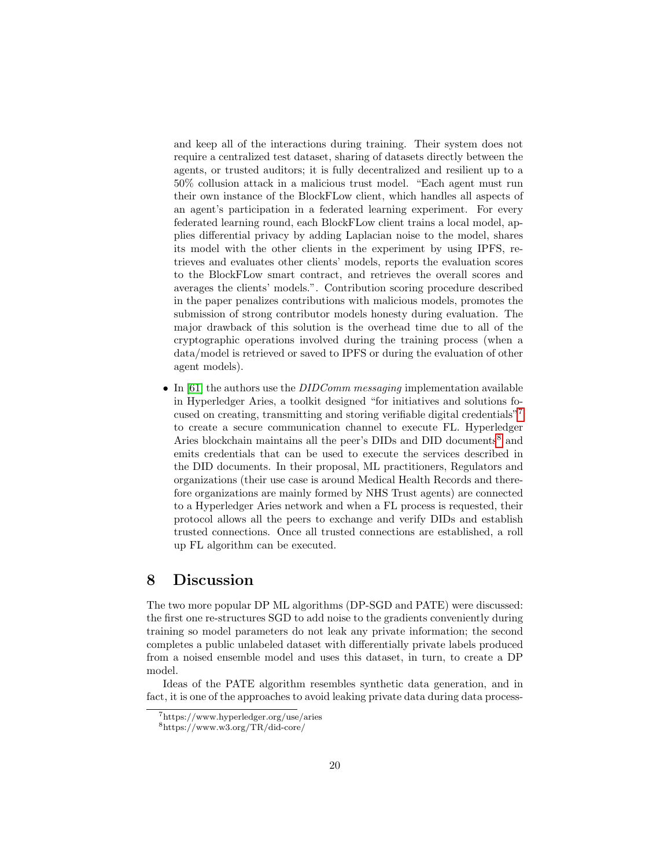and keep all of the interactions during training. Their system does not require a centralized test dataset, sharing of datasets directly between the agents, or trusted auditors; it is fully decentralized and resilient up to a 50% collusion attack in a malicious trust model. "Each agent must run their own instance of the BlockFLow client, which handles all aspects of an agent's participation in a federated learning experiment. For every federated learning round, each BlockFLow client trains a local model, applies differential privacy by adding Laplacian noise to the model, shares its model with the other clients in the experiment by using IPFS, retrieves and evaluates other clients' models, reports the evaluation scores to the BlockFLow smart contract, and retrieves the overall scores and averages the clients' models.". Contribution scoring procedure described in the paper penalizes contributions with malicious models, promotes the submission of strong contributor models honesty during evaluation. The major drawback of this solution is the overhead time due to all of the cryptographic operations involved during the training process (when a data/model is retrieved or saved to IPFS or during the evaluation of other agent models).

• In [\[61\]](#page-26-4) the authors use the *DIDComm messaging* implementation available in Hyperledger Aries, a toolkit designed "for initiatives and solutions focused on creating, transmitting and storing verifiable digital credentials"[7](#page-19-1) to create a secure communication channel to execute FL. Hyperledger Aries blockchain maintains all the peer's DIDs and DID documents<sup>[8](#page-19-2)</sup> and emits credentials that can be used to execute the services described in the DID documents. In their proposal, ML practitioners, Regulators and organizations (their use case is around Medical Health Records and therefore organizations are mainly formed by NHS Trust agents) are connected to a Hyperledger Aries network and when a FL process is requested, their protocol allows all the peers to exchange and verify DIDs and establish trusted connections. Once all trusted connections are established, a roll up FL algorithm can be executed.

## <span id="page-19-0"></span>8 Discussion

The two more popular DP ML algorithms (DP-SGD and PATE) were discussed: the first one re-structures SGD to add noise to the gradients conveniently during training so model parameters do not leak any private information; the second completes a public unlabeled dataset with differentially private labels produced from a noised ensemble model and uses this dataset, in turn, to create a DP model.

Ideas of the PATE algorithm resembles synthetic data generation, and in fact, it is one of the approaches to avoid leaking private data during data process-

<span id="page-19-1"></span><sup>7</sup>https://www.hyperledger.org/use/aries

<span id="page-19-2"></span> ${\rm ^8https:} // {\rm www.w3.org/TR/did-core/}$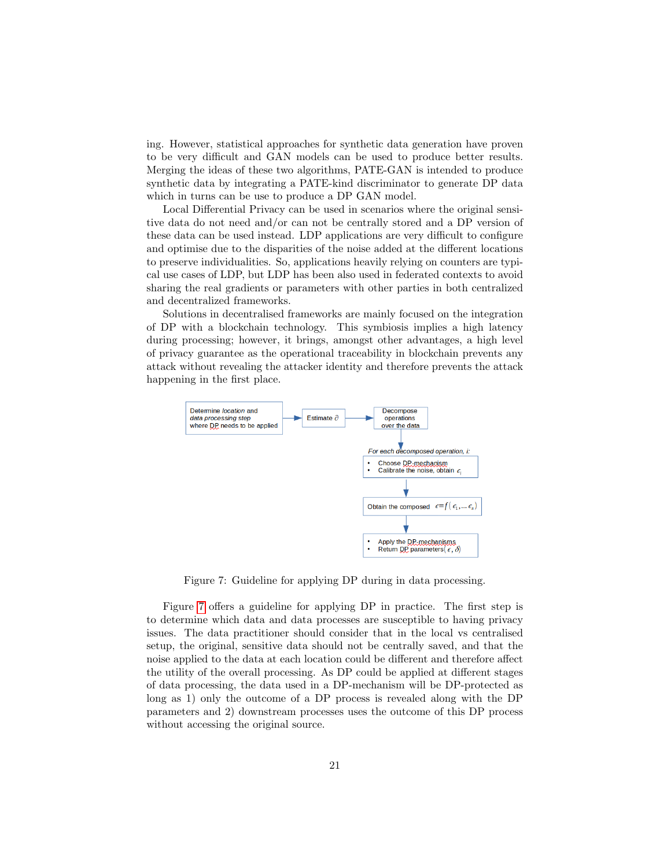ing. However, statistical approaches for synthetic data generation have proven to be very difficult and GAN models can be used to produce better results. Merging the ideas of these two algorithms, PATE-GAN is intended to produce synthetic data by integrating a PATE-kind discriminator to generate DP data which in turns can be use to produce a DP GAN model.

Local Differential Privacy can be used in scenarios where the original sensitive data do not need and/or can not be centrally stored and a DP version of these data can be used instead. LDP applications are very difficult to configure and optimise due to the disparities of the noise added at the different locations to preserve individualities. So, applications heavily relying on counters are typical use cases of LDP, but LDP has been also used in federated contexts to avoid sharing the real gradients or parameters with other parties in both centralized and decentralized frameworks.

Solutions in decentralised frameworks are mainly focused on the integration of DP with a blockchain technology. This symbiosis implies a high latency during processing; however, it brings, amongst other advantages, a high level of privacy guarantee as the operational traceability in blockchain prevents any attack without revealing the attacker identity and therefore prevents the attack happening in the first place.



<span id="page-20-0"></span>Figure 7: Guideline for applying DP during in data processing.

Figure [7](#page-20-0) offers a guideline for applying DP in practice. The first step is to determine which data and data processes are susceptible to having privacy issues. The data practitioner should consider that in the local vs centralised setup, the original, sensitive data should not be centrally saved, and that the noise applied to the data at each location could be different and therefore affect the utility of the overall processing. As DP could be applied at different stages of data processing, the data used in a DP-mechanism will be DP-protected as long as 1) only the outcome of a DP process is revealed along with the DP parameters and 2) downstream processes uses the outcome of this DP process without accessing the original source.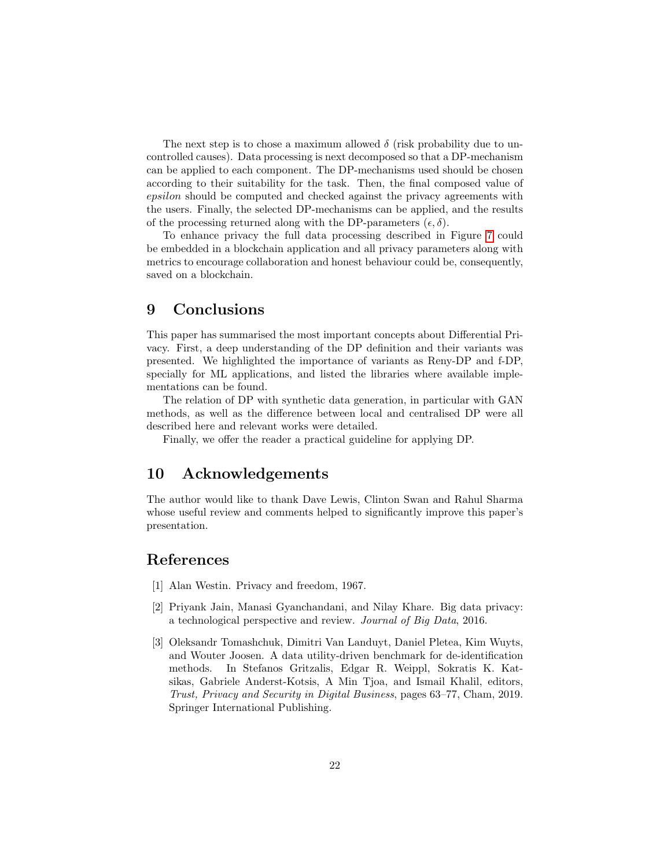The next step is to chose a maximum allowed  $\delta$  (risk probability due to uncontrolled causes). Data processing is next decomposed so that a DP-mechanism can be applied to each component. The DP-mechanisms used should be chosen according to their suitability for the task. Then, the final composed value of epsilon should be computed and checked against the privacy agreements with the users. Finally, the selected DP-mechanisms can be applied, and the results of the processing returned along with the DP-parameters  $(\epsilon, \delta)$ .

To enhance privacy the full data processing described in Figure [7](#page-20-0) could be embedded in a blockchain application and all privacy parameters along with metrics to encourage collaboration and honest behaviour could be, consequently, saved on a blockchain.

## <span id="page-21-3"></span>9 Conclusions

This paper has summarised the most important concepts about Differential Privacy. First, a deep understanding of the DP definition and their variants was presented. We highlighted the importance of variants as Reny-DP and f-DP, specially for ML applications, and listed the libraries where available implementations can be found.

The relation of DP with synthetic data generation, in particular with GAN methods, as well as the difference between local and centralised DP were all described here and relevant works were detailed.

Finally, we offer the reader a practical guideline for applying DP.

## 10 Acknowledgements

The author would like to thank Dave Lewis, Clinton Swan and Rahul Sharma whose useful review and comments helped to significantly improve this paper's presentation.

## References

- <span id="page-21-0"></span>[1] Alan Westin. Privacy and freedom, 1967.
- <span id="page-21-1"></span>[2] Priyank Jain, Manasi Gyanchandani, and Nilay Khare. Big data privacy: a technological perspective and review. Journal of Big Data, 2016.
- <span id="page-21-2"></span>[3] Oleksandr Tomashchuk, Dimitri Van Landuyt, Daniel Pletea, Kim Wuyts, and Wouter Joosen. A data utility-driven benchmark for de-identification methods. In Stefanos Gritzalis, Edgar R. Weippl, Sokratis K. Katsikas, Gabriele Anderst-Kotsis, A Min Tjoa, and Ismail Khalil, editors, Trust, Privacy and Security in Digital Business, pages 63–77, Cham, 2019. Springer International Publishing.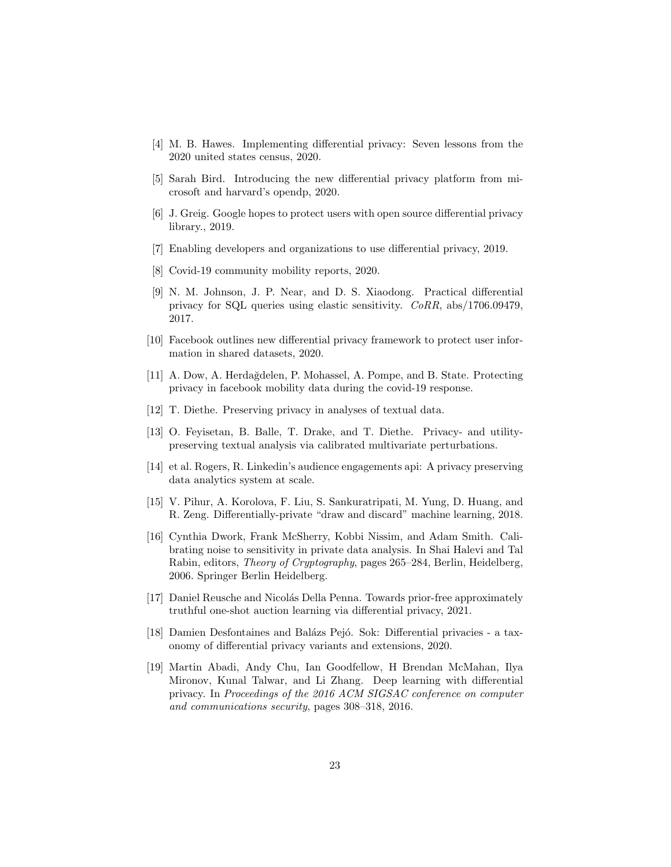- <span id="page-22-0"></span>[4] M. B. Hawes. Implementing differential privacy: Seven lessons from the 2020 united states census, 2020.
- <span id="page-22-1"></span>[5] Sarah Bird. Introducing the new differential privacy platform from microsoft and harvard's opendp, 2020.
- <span id="page-22-2"></span>[6] J. Greig. Google hopes to protect users with open source differential privacy library., 2019.
- <span id="page-22-3"></span>[7] Enabling developers and organizations to use differential privacy, 2019.
- <span id="page-22-4"></span>[8] Covid-19 community mobility reports, 2020.
- <span id="page-22-5"></span>[9] N. M. Johnson, J. P. Near, and D. S. Xiaodong. Practical differential privacy for SQL queries using elastic sensitivity. CoRR, abs/1706.09479, 2017.
- <span id="page-22-6"></span>[10] Facebook outlines new differential privacy framework to protect user information in shared datasets, 2020.
- <span id="page-22-7"></span>[11] A. Dow, A. Herda˘gdelen, P. Mohassel, A. Pompe, and B. State. Protecting privacy in facebook mobility data during the covid-19 response.
- <span id="page-22-8"></span>[12] T. Diethe. Preserving privacy in analyses of textual data.
- <span id="page-22-9"></span>[13] O. Feyisetan, B. Balle, T. Drake, and T. Diethe. Privacy- and utilitypreserving textual analysis via calibrated multivariate perturbations.
- <span id="page-22-10"></span>[14] et al. Rogers, R. Linkedin's audience engagements api: A privacy preserving data analytics system at scale.
- <span id="page-22-11"></span>[15] V. Pihur, A. Korolova, F. Liu, S. Sankuratripati, M. Yung, D. Huang, and R. Zeng. Differentially-private "draw and discard" machine learning, 2018.
- <span id="page-22-12"></span>[16] Cynthia Dwork, Frank McSherry, Kobbi Nissim, and Adam Smith. Calibrating noise to sensitivity in private data analysis. In Shai Halevi and Tal Rabin, editors, Theory of Cryptography, pages 265–284, Berlin, Heidelberg, 2006. Springer Berlin Heidelberg.
- <span id="page-22-13"></span>[17] Daniel Reusche and Nicolás Della Penna. Towards prior-free approximately truthful one-shot auction learning via differential privacy, 2021.
- <span id="page-22-14"></span>[18] Damien Desfontaines and Balázs Pejó. Sok: Differential privacies - a taxonomy of differential privacy variants and extensions, 2020.
- <span id="page-22-15"></span>[19] Martin Abadi, Andy Chu, Ian Goodfellow, H Brendan McMahan, Ilya Mironov, Kunal Talwar, and Li Zhang. Deep learning with differential privacy. In Proceedings of the 2016 ACM SIGSAC conference on computer and communications security, pages 308–318, 2016.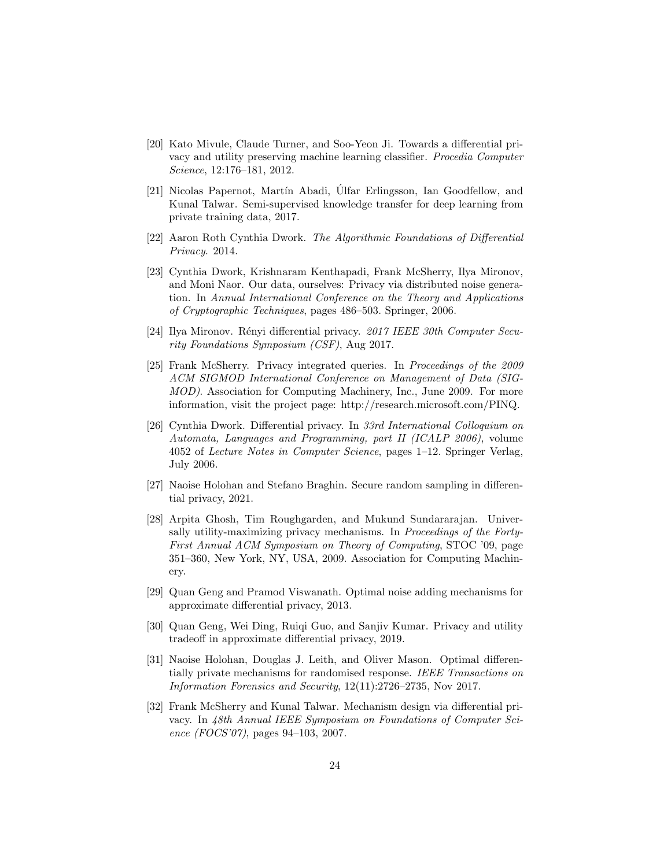- <span id="page-23-0"></span>[20] Kato Mivule, Claude Turner, and Soo-Yeon Ji. Towards a differential privacy and utility preserving machine learning classifier. Procedia Computer Science, 12:176–181, 2012.
- <span id="page-23-1"></span>[21] Nicolas Papernot, Martín Abadi, Úlfar Erlingsson, Ian Goodfellow, and Kunal Talwar. Semi-supervised knowledge transfer for deep learning from private training data, 2017.
- <span id="page-23-2"></span>[22] Aaron Roth Cynthia Dwork. The Algorithmic Foundations of Differential Privacy. 2014.
- <span id="page-23-3"></span>[23] Cynthia Dwork, Krishnaram Kenthapadi, Frank McSherry, Ilya Mironov, and Moni Naor. Our data, ourselves: Privacy via distributed noise generation. In Annual International Conference on the Theory and Applications of Cryptographic Techniques, pages 486–503. Springer, 2006.
- <span id="page-23-4"></span>[24] Ilya Mironov. Rényi differential privacy. 2017 IEEE 30th Computer Security Foundations Symposium (CSF), Aug 2017.
- <span id="page-23-5"></span>[25] Frank McSherry. Privacy integrated queries. In Proceedings of the 2009 ACM SIGMOD International Conference on Management of Data (SIG-MOD). Association for Computing Machinery, Inc., June 2009. For more information, visit the project page: http://research.microsoft.com/PINQ.
- <span id="page-23-6"></span>[26] Cynthia Dwork. Differential privacy. In 33rd International Colloquium on Automata, Languages and Programming, part II (ICALP 2006), volume 4052 of Lecture Notes in Computer Science, pages 1–12. Springer Verlag, July 2006.
- <span id="page-23-7"></span>[27] Naoise Holohan and Stefano Braghin. Secure random sampling in differential privacy, 2021.
- <span id="page-23-8"></span>[28] Arpita Ghosh, Tim Roughgarden, and Mukund Sundararajan. Universally utility-maximizing privacy mechanisms. In Proceedings of the Forty-First Annual ACM Symposium on Theory of Computing, STOC '09, page 351–360, New York, NY, USA, 2009. Association for Computing Machinery.
- <span id="page-23-9"></span>[29] Quan Geng and Pramod Viswanath. Optimal noise adding mechanisms for approximate differential privacy, 2013.
- <span id="page-23-10"></span>[30] Quan Geng, Wei Ding, Ruiqi Guo, and Sanjiv Kumar. Privacy and utility tradeoff in approximate differential privacy, 2019.
- <span id="page-23-11"></span>[31] Naoise Holohan, Douglas J. Leith, and Oliver Mason. Optimal differentially private mechanisms for randomised response. IEEE Transactions on Information Forensics and Security, 12(11):2726–2735, Nov 2017.
- <span id="page-23-12"></span>[32] Frank McSherry and Kunal Talwar. Mechanism design via differential privacy. In 48th Annual IEEE Symposium on Foundations of Computer Science (FOCS'07), pages 94–103, 2007.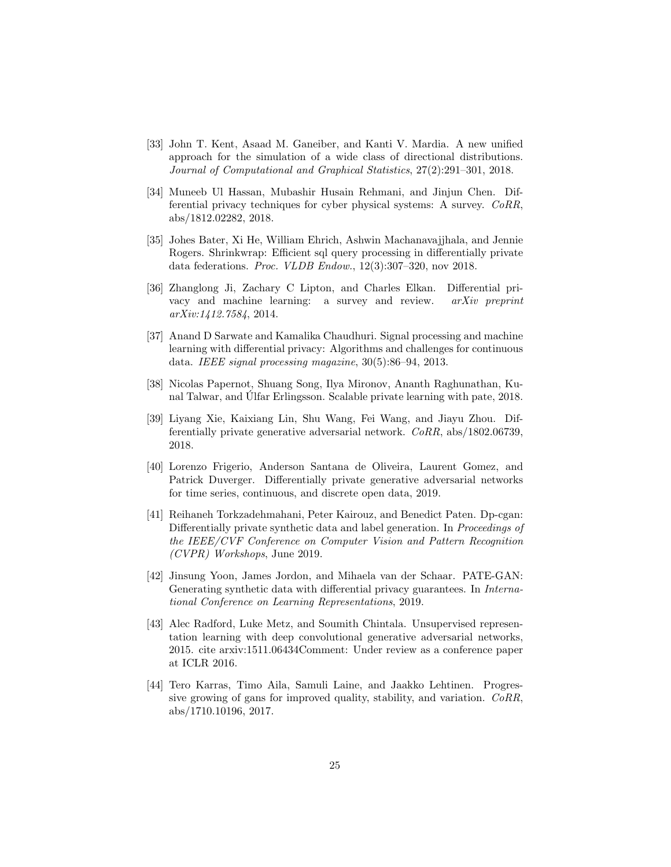- <span id="page-24-0"></span>[33] John T. Kent, Asaad M. Ganeiber, and Kanti V. Mardia. A new unified approach for the simulation of a wide class of directional distributions. Journal of Computational and Graphical Statistics, 27(2):291–301, 2018.
- <span id="page-24-1"></span>[34] Muneeb Ul Hassan, Mubashir Husain Rehmani, and Jinjun Chen. Differential privacy techniques for cyber physical systems: A survey. CoRR, abs/1812.02282, 2018.
- <span id="page-24-2"></span>[35] Johes Bater, Xi He, William Ehrich, Ashwin Machanavajjhala, and Jennie Rogers. Shrinkwrap: Efficient sql query processing in differentially private data federations. Proc. VLDB Endow., 12(3):307–320, nov 2018.
- <span id="page-24-3"></span>[36] Zhanglong Ji, Zachary C Lipton, and Charles Elkan. Differential privacy and machine learning: a survey and review. arXiv preprint arXiv:1412.7584, 2014.
- <span id="page-24-4"></span>[37] Anand D Sarwate and Kamalika Chaudhuri. Signal processing and machine learning with differential privacy: Algorithms and challenges for continuous data. IEEE signal processing magazine, 30(5):86–94, 2013.
- <span id="page-24-5"></span>[38] Nicolas Papernot, Shuang Song, Ilya Mironov, Ananth Raghunathan, Kunal Talwar, and Ulfar Erlingsson. Scalable private learning with pate, 2018.
- <span id="page-24-6"></span>[39] Liyang Xie, Kaixiang Lin, Shu Wang, Fei Wang, and Jiayu Zhou. Differentially private generative adversarial network. CoRR, abs/1802.06739, 2018.
- <span id="page-24-7"></span>[40] Lorenzo Frigerio, Anderson Santana de Oliveira, Laurent Gomez, and Patrick Duverger. Differentially private generative adversarial networks for time series, continuous, and discrete open data, 2019.
- <span id="page-24-8"></span>[41] Reihaneh Torkzadehmahani, Peter Kairouz, and Benedict Paten. Dp-cgan: Differentially private synthetic data and label generation. In Proceedings of the IEEE/CVF Conference on Computer Vision and Pattern Recognition (CVPR) Workshops, June 2019.
- <span id="page-24-9"></span>[42] Jinsung Yoon, James Jordon, and Mihaela van der Schaar. PATE-GAN: Generating synthetic data with differential privacy guarantees. In *Interna*tional Conference on Learning Representations, 2019.
- <span id="page-24-10"></span>[43] Alec Radford, Luke Metz, and Soumith Chintala. Unsupervised representation learning with deep convolutional generative adversarial networks, 2015. cite arxiv:1511.06434Comment: Under review as a conference paper at ICLR 2016.
- <span id="page-24-11"></span>[44] Tero Karras, Timo Aila, Samuli Laine, and Jaakko Lehtinen. Progressive growing of gans for improved quality, stability, and variation. CoRR, abs/1710.10196, 2017.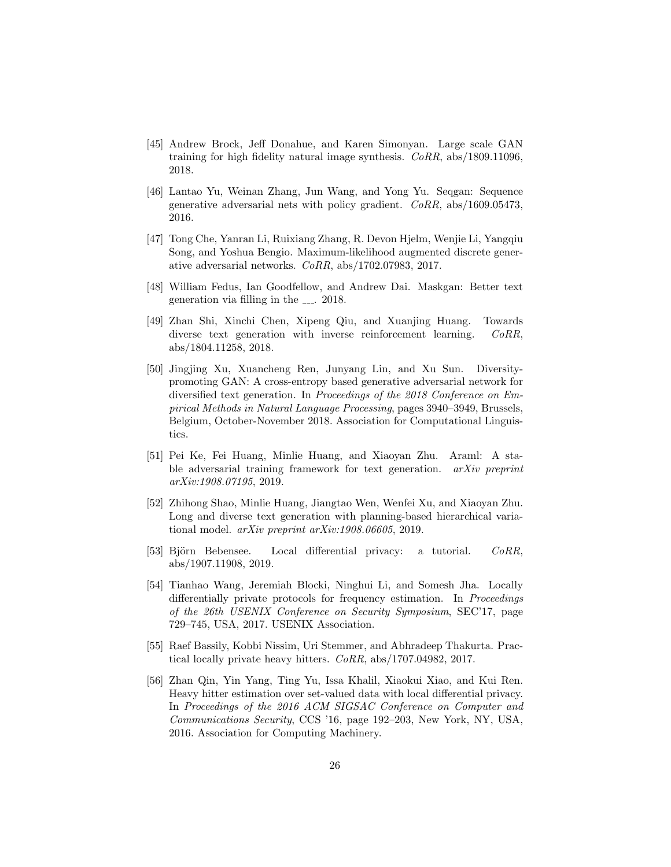- <span id="page-25-0"></span>[45] Andrew Brock, Jeff Donahue, and Karen Simonyan. Large scale GAN training for high fidelity natural image synthesis. CoRR, abs/1809.11096, 2018.
- <span id="page-25-1"></span>[46] Lantao Yu, Weinan Zhang, Jun Wang, and Yong Yu. Seqgan: Sequence generative adversarial nets with policy gradient. CoRR, abs/1609.05473, 2016.
- <span id="page-25-2"></span>[47] Tong Che, Yanran Li, Ruixiang Zhang, R. Devon Hjelm, Wenjie Li, Yangqiu Song, and Yoshua Bengio. Maximum-likelihood augmented discrete generative adversarial networks. CoRR, abs/1702.07983, 2017.
- <span id="page-25-3"></span>[48] William Fedus, Ian Goodfellow, and Andrew Dai. Maskgan: Better text generation via filling in the  $\sim$  2018.
- <span id="page-25-4"></span>[49] Zhan Shi, Xinchi Chen, Xipeng Qiu, and Xuanjing Huang. Towards diverse text generation with inverse reinforcement learning. CoRR, abs/1804.11258, 2018.
- <span id="page-25-5"></span>[50] Jingjing Xu, Xuancheng Ren, Junyang Lin, and Xu Sun. Diversitypromoting GAN: A cross-entropy based generative adversarial network for diversified text generation. In Proceedings of the 2018 Conference on Empirical Methods in Natural Language Processing, pages 3940–3949, Brussels, Belgium, October-November 2018. Association for Computational Linguistics.
- <span id="page-25-6"></span>[51] Pei Ke, Fei Huang, Minlie Huang, and Xiaoyan Zhu. Araml: A stable adversarial training framework for text generation. *arXiv preprint* arXiv:1908.07195, 2019.
- <span id="page-25-7"></span>[52] Zhihong Shao, Minlie Huang, Jiangtao Wen, Wenfei Xu, and Xiaoyan Zhu. Long and diverse text generation with planning-based hierarchical variational model. arXiv preprint arXiv:1908.06605, 2019.
- <span id="page-25-8"></span>[53] Björn Bebensee. Local differential privacy: a tutorial. *CoRR*, abs/1907.11908, 2019.
- <span id="page-25-9"></span>[54] Tianhao Wang, Jeremiah Blocki, Ninghui Li, and Somesh Jha. Locally differentially private protocols for frequency estimation. In *Proceedings* of the 26th USENIX Conference on Security Symposium, SEC'17, page 729–745, USA, 2017. USENIX Association.
- <span id="page-25-10"></span>[55] Raef Bassily, Kobbi Nissim, Uri Stemmer, and Abhradeep Thakurta. Practical locally private heavy hitters. CoRR, abs/1707.04982, 2017.
- <span id="page-25-11"></span>[56] Zhan Qin, Yin Yang, Ting Yu, Issa Khalil, Xiaokui Xiao, and Kui Ren. Heavy hitter estimation over set-valued data with local differential privacy. In Proceedings of the 2016 ACM SIGSAC Conference on Computer and Communications Security, CCS '16, page 192–203, New York, NY, USA, 2016. Association for Computing Machinery.